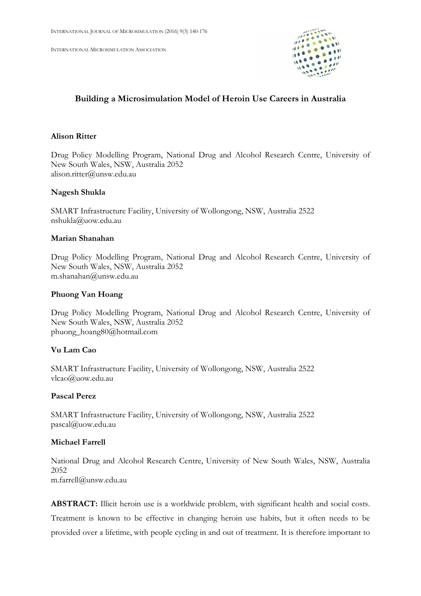INTERNATIONAL MICROSIMULATION ASSOCIATION



# Building a Microsimulation Model of Heroin Use Careers in Australia

## Alison Ritter

Drug Policy Modelling Program, National Drug and Alcohol Research Centre, University of New South Wales, NSW, Australia 2052 alison.ritter@unsw.edu.au

## Nagesh Shukla

SMART Infrastructure Facility, University of Wollongong, NSW, Australia 2522 nshukla@uow.edu.au

## Marian Shanahan

Drug Policy Modelling Program, National Drug and Alcohol Research Centre, University of New South Wales, NSW, Australia 2052 m.shanahan@unsw.edu.au

## Phuong Van Hoang

Drug Policy Modelling Program, National Drug and Alcohol Research Centre, University of New South Wales, NSW, Australia 2052 phuong\_hoang80@hotmail.com

## Vu Lam Cao

SMART Infrastructure Facility, University of Wollongong, NSW, Australia 2522 vlcao@uow.edu.au

### Pascal Perez

SMART Infrastructure Facility, University of Wollongong, NSW, Australia 2522 pascal@uow.edu.au

### Michael Farrell

National Drug and Alcohol Research Centre, University of New South Wales, NSW, Australia 2052 m.farrell@unsw.edu.au

ABSTRACT: Illicit heroin use is a worldwide problem, with significant health and social costs. Treatment is known to be effective in changing heroin use habits, but it often needs to be provided over a lifetime, with people cycling in and out of treatment. It is therefore important to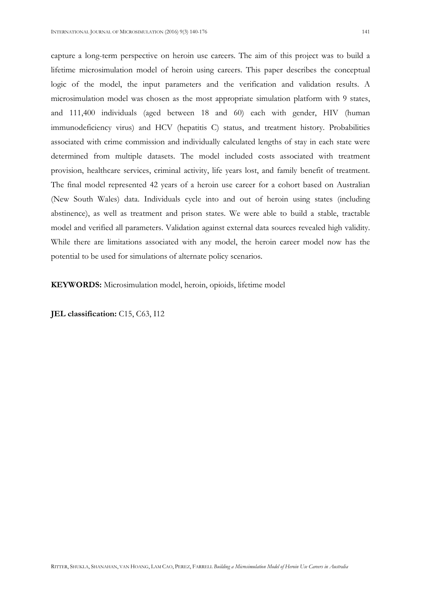capture a long-term perspective on heroin use careers. The aim of this project was to build a lifetime microsimulation model of heroin using careers. This paper describes the conceptual logic of the model, the input parameters and the verification and validation results. A microsimulation model was chosen as the most appropriate simulation platform with 9 states, and 111,400 individuals (aged between 18 and 60) each with gender, HIV (human immunodeficiency virus) and HCV (hepatitis C) status, and treatment history. Probabilities associated with crime commission and individually calculated lengths of stay in each state were determined from multiple datasets. The model included costs associated with treatment provision, healthcare services, criminal activity, life years lost, and family benefit of treatment. The final model represented 42 years of a heroin use career for a cohort based on Australian (New South Wales) data. Individuals cycle into and out of heroin using states (including abstinence), as well as treatment and prison states. We were able to build a stable, tractable model and verified all parameters. Validation against external data sources revealed high validity. While there are limitations associated with any model, the heroin career model now has the potential to be used for simulations of alternate policy scenarios.

KEYWORDS: Microsimulation model, heroin, opioids, lifetime model

JEL classification: C15, C63, I12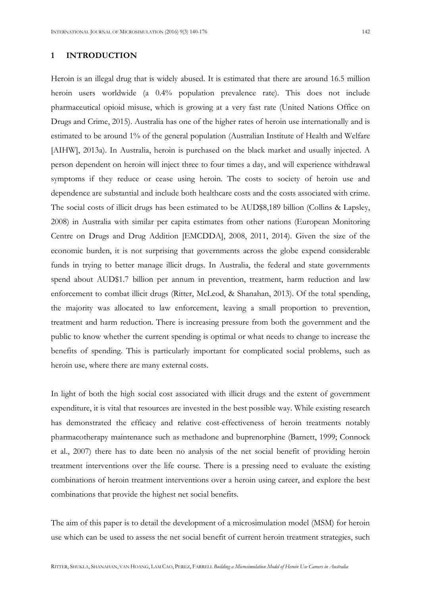#### 1 INTRODUCTION

Heroin is an illegal drug that is widely abused. It is estimated that there are around 16.5 million heroin users worldwide (a 0.4% population prevalence rate). This does not include pharmaceutical opioid misuse, which is growing at a very fast rate (United Nations Office on Drugs and Crime, 2015). Australia has one of the higher rates of heroin use internationally and is estimated to be around 1% of the general population (Australian Institute of Health and Welfare [AIHW], 2013a). In Australia, heroin is purchased on the black market and usually injected. A person dependent on heroin will inject three to four times a day, and will experience withdrawal symptoms if they reduce or cease using heroin. The costs to society of heroin use and dependence are substantial and include both healthcare costs and the costs associated with crime. The social costs of illicit drugs has been estimated to be AUD\$8,189 billion (Collins & Lapsley, 2008) in Australia with similar per capita estimates from other nations (European Monitoring Centre on Drugs and Drug Addition [EMCDDA], 2008, 2011, 2014). Given the size of the economic burden, it is not surprising that governments across the globe expend considerable funds in trying to better manage illicit drugs. In Australia, the federal and state governments spend about AUD\$1.7 billion per annum in prevention, treatment, harm reduction and law enforcement to combat illicit drugs (Ritter, McLeod, & Shanahan, 2013). Of the total spending, the majority was allocated to law enforcement, leaving a small proportion to prevention, treatment and harm reduction. There is increasing pressure from both the government and the public to know whether the current spending is optimal or what needs to change to increase the benefits of spending. This is particularly important for complicated social problems, such as heroin use, where there are many external costs.

In light of both the high social cost associated with illicit drugs and the extent of government expenditure, it is vital that resources are invested in the best possible way. While existing research has demonstrated the efficacy and relative cost-effectiveness of heroin treatments notably pharmacotherapy maintenance such as methadone and buprenorphine (Barnett, 1999; Connock et al., 2007) there has to date been no analysis of the net social benefit of providing heroin treatment interventions over the life course. There is a pressing need to evaluate the existing combinations of heroin treatment interventions over a heroin using career, and explore the best combinations that provide the highest net social benefits.

The aim of this paper is to detail the development of a microsimulation model (MSM) for heroin use which can be used to assess the net social benefit of current heroin treatment strategies, such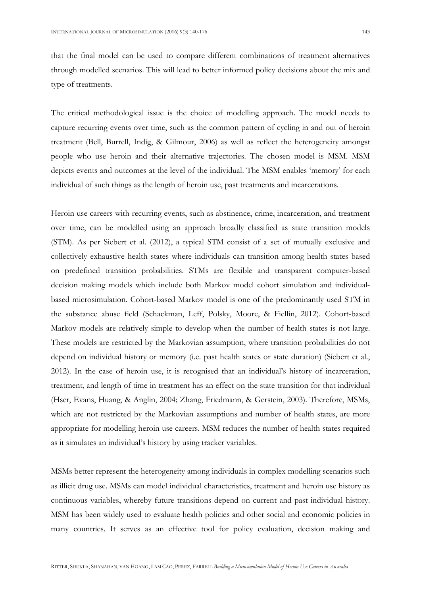that the final model can be used to compare different combinations of treatment alternatives through modelled scenarios. This will lead to better informed policy decisions about the mix and type of treatments.

The critical methodological issue is the choice of modelling approach. The model needs to capture recurring events over time, such as the common pattern of cycling in and out of heroin treatment (Bell, Burrell, Indig, & Gilmour, 2006) as well as reflect the heterogeneity amongst people who use heroin and their alternative trajectories. The chosen model is MSM. MSM depicts events and outcomes at the level of the individual. The MSM enables 'memory' for each individual of such things as the length of heroin use, past treatments and incarcerations.

Heroin use careers with recurring events, such as abstinence, crime, incarceration, and treatment over time, can be modelled using an approach broadly classified as state transition models (STM). As per Siebert et al. (2012), a typical STM consist of a set of mutually exclusive and collectively exhaustive health states where individuals can transition among health states based on predefined transition probabilities. STMs are flexible and transparent computer-based decision making models which include both Markov model cohort simulation and individualbased microsimulation. Cohort-based Markov model is one of the predominantly used STM in the substance abuse field (Schackman, Leff, Polsky, Moore, & Fiellin, 2012). Cohort-based Markov models are relatively simple to develop when the number of health states is not large. These models are restricted by the Markovian assumption, where transition probabilities do not depend on individual history or memory (i.e. past health states or state duration) (Siebert et al., 2012). In the case of heroin use, it is recognised that an individual's history of incarceration, treatment, and length of time in treatment has an effect on the state transition for that individual (Hser, Evans, Huang, & Anglin, 2004; Zhang, Friedmann, & Gerstein, 2003). Therefore, MSMs, which are not restricted by the Markovian assumptions and number of health states, are more appropriate for modelling heroin use careers. MSM reduces the number of health states required as it simulates an individual's history by using tracker variables.

MSMs better represent the heterogeneity among individuals in complex modelling scenarios such as illicit drug use. MSMs can model individual characteristics, treatment and heroin use history as continuous variables, whereby future transitions depend on current and past individual history. MSM has been widely used to evaluate health policies and other social and economic policies in many countries. It serves as an effective tool for policy evaluation, decision making and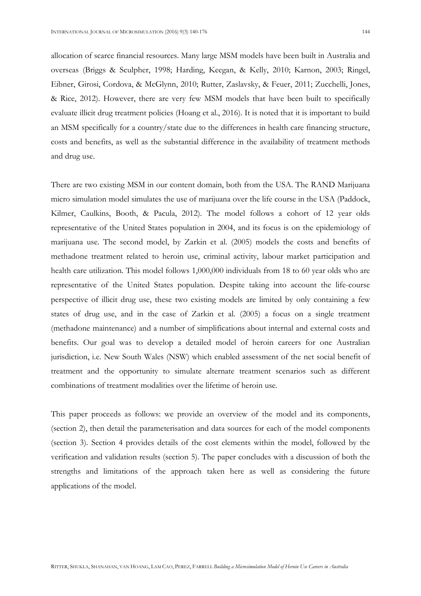allocation of scarce financial resources. Many large MSM models have been built in Australia and overseas (Briggs & Sculpher, 1998; Harding, Keegan, & Kelly, 2010; Karnon, 2003; Ringel, Eibner, Girosi, Cordova, & McGlynn, 2010; Rutter, Zaslavsky, & Feuer, 2011; Zucchelli, Jones, & Rice, 2012). However, there are very few MSM models that have been built to specifically evaluate illicit drug treatment policies (Hoang et al., 2016). It is noted that it is important to build an MSM specifically for a country/state due to the differences in health care financing structure, costs and benefits, as well as the substantial difference in the availability of treatment methods and drug use.

There are two existing MSM in our content domain, both from the USA. The RAND Marijuana micro simulation model simulates the use of marijuana over the life course in the USA (Paddock, Kilmer, Caulkins, Booth, & Pacula, 2012). The model follows a cohort of 12 year olds representative of the United States population in 2004, and its focus is on the epidemiology of marijuana use. The second model, by Zarkin et al. (2005) models the costs and benefits of methadone treatment related to heroin use, criminal activity, labour market participation and health care utilization. This model follows 1,000,000 individuals from 18 to 60 year olds who are representative of the United States population. Despite taking into account the life-course perspective of illicit drug use, these two existing models are limited by only containing a few states of drug use, and in the case of Zarkin et al. (2005) a focus on a single treatment (methadone maintenance) and a number of simplifications about internal and external costs and benefits. Our goal was to develop a detailed model of heroin careers for one Australian jurisdiction, i.e. New South Wales (NSW) which enabled assessment of the net social benefit of treatment and the opportunity to simulate alternate treatment scenarios such as different combinations of treatment modalities over the lifetime of heroin use.

This paper proceeds as follows: we provide an overview of the model and its components, (section 2), then detail the parameterisation and data sources for each of the model components (section 3). Section 4 provides details of the cost elements within the model, followed by the verification and validation results (section 5). The paper concludes with a discussion of both the strengths and limitations of the approach taken here as well as considering the future applications of the model.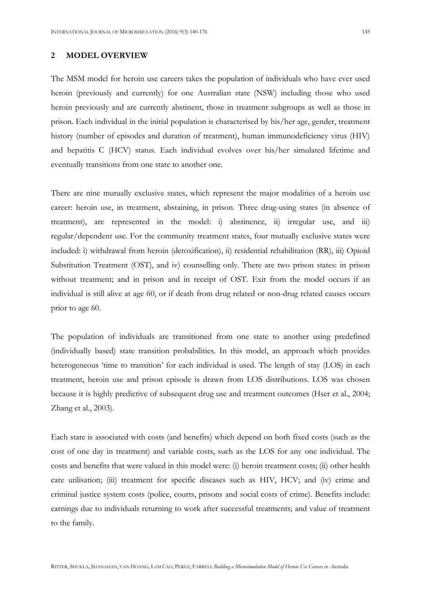#### 2 MODEL OVERVIEW

The MSM model for heroin use careers takes the population of individuals who have ever used heroin (previously and currently) for one Australian state (NSW) including those who used heroin previously and are currently abstinent, those in treatment subgroups as well as those in prison. Each individual in the initial population is characterised by his/her age, gender, treatment history (number of episodes and duration of treatment), human immunodeficiency virus (HIV) and hepatitis C (HCV) status. Each individual evolves over his/her simulated lifetime and eventually transitions from one state to another one.

There are nine mutually exclusive states, which represent the major modalities of a heroin use career: heroin use, in treatment, abstaining, in prison. Three drug-using states (in absence of treatment), are represented in the model: i) abstinence, ii) irregular use, and iii) regular/dependent use. For the community treatment states, four mutually exclusive states were included: i) withdrawal from heroin (detoxification), ii) residential rehabilitation (RR), iii) Opioid Substitution Treatment (OST), and iv) counselling only. There are two prison states: in prison without treatment; and in prison and in receipt of OST. Exit from the model occurs if an individual is still alive at age 60, or if death from drug related or non-drug related causes occurs prior to age 60.

The population of individuals are transitioned from one state to another using predefined (individually based) state transition probabilities. In this model, an approach which provides heterogeneous 'time to transition' for each individual is used. The length of stay (LOS) in each treatment, heroin use and prison episode is drawn from LOS distributions. LOS was chosen because it is highly predictive of subsequent drug use and treatment outcomes (Hser et al., 2004; Zhang et al., 2003).

Each state is associated with costs (and benefits) which depend on both fixed costs (such as the cost of one day in treatment) and variable costs, such as the LOS for any one individual. The costs and benefits that were valued in this model were: (i) heroin treatment costs; (ii) other health care utilisation; (iii) treatment for specific diseases such as HIV, HCV; and (iv) crime and criminal justice system costs (police, courts, prisons and social costs of crime). Benefits include: earnings due to individuals returning to work after successful treatments; and value of treatment to the family.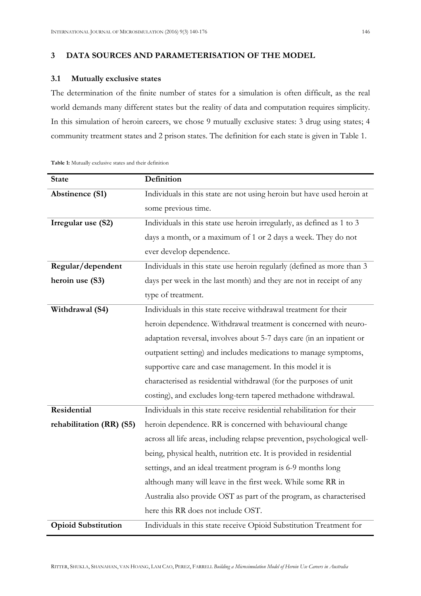### 3 DATA SOURCES AND PARAMETERISATION OF THE MODEL

### 3.1 Mutually exclusive states

The determination of the finite number of states for a simulation is often difficult, as the real world demands many different states but the reality of data and computation requires simplicity. In this simulation of heroin careers, we chose 9 mutually exclusive states: 3 drug using states; 4 community treatment states and 2 prison states. The definition for each state is given in Table 1.

| <b>State</b>               | Definition                                                               |
|----------------------------|--------------------------------------------------------------------------|
| <b>Abstinence (S1)</b>     | Individuals in this state are not using heroin but have used heroin at   |
|                            | some previous time.                                                      |
| Irregular use (S2)         | Individuals in this state use heroin irregularly, as defined as 1 to 3   |
|                            | days a month, or a maximum of 1 or 2 days a week. They do not            |
|                            | ever develop dependence.                                                 |
| Regular/dependent          | Individuals in this state use heroin regularly (defined as more than 3   |
| heroin use (S3)            | days per week in the last month) and they are not in receipt of any      |
|                            | type of treatment.                                                       |
| Withdrawal (S4)            | Individuals in this state receive withdrawal treatment for their         |
|                            | heroin dependence. Withdrawal treatment is concerned with neuro-         |
|                            | adaptation reversal, involves about 5-7 days care (in an inpatient or    |
|                            | outpatient setting) and includes medications to manage symptoms,         |
|                            | supportive care and case management. In this model it is                 |
|                            | characterised as residential withdrawal (for the purposes of unit        |
|                            | costing), and excludes long-tern tapered methadone withdrawal.           |
| Residential                | Individuals in this state receive residential rehabilitation for their   |
| rehabilitation (RR) (S5)   | heroin dependence. RR is concerned with behavioural change               |
|                            | across all life areas, including relapse prevention, psychological well- |
|                            | being, physical health, nutrition etc. It is provided in residential     |
|                            | settings, and an ideal treatment program is 6-9 months long              |
|                            | although many will leave in the first week. While some RR in             |
|                            | Australia also provide OST as part of the program, as characterised      |
|                            | here this RR does not include OST.                                       |
| <b>Opioid Substitution</b> | Individuals in this state receive Opioid Substitution Treatment for      |

Table 1: Mutually exclusive states and their definition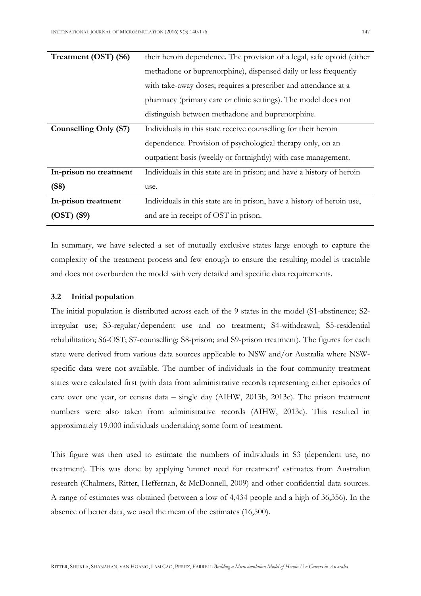| Treatment (OST) (S6)   | their heroin dependence. The provision of a legal, safe opioid (either |
|------------------------|------------------------------------------------------------------------|
|                        | methadone or buprenorphine), dispensed daily or less frequently        |
|                        | with take-away doses; requires a prescriber and attendance at a        |
|                        | pharmacy (primary care or clinic settings). The model does not         |
|                        | distinguish between methadone and buprenorphine.                       |
| Counselling Only (S7)  | Individuals in this state receive counselling for their heroin         |
|                        | dependence. Provision of psychological therapy only, on an             |
|                        | outpatient basis (weekly or fortnightly) with case management.         |
| In-prison no treatment | Individuals in this state are in prison; and have a history of heroin  |
| (S8)                   | use.                                                                   |
| In-prison treatment    | Individuals in this state are in prison, have a history of heroin use, |
| $(OST)$ $(S9)$         | and are in receipt of OST in prison.                                   |

In summary, we have selected a set of mutually exclusive states large enough to capture the complexity of the treatment process and few enough to ensure the resulting model is tractable and does not overburden the model with very detailed and specific data requirements.

### 3.2 Initial population

The initial population is distributed across each of the 9 states in the model (S1-abstinence; S2 irregular use; S3-regular/dependent use and no treatment; S4-withdrawal; S5-residential rehabilitation; S6-OST; S7-counselling; S8-prison; and S9-prison treatment). The figures for each state were derived from various data sources applicable to NSW and/or Australia where NSWspecific data were not available. The number of individuals in the four community treatment states were calculated first (with data from administrative records representing either episodes of care over one year, or census data – single day (AIHW, 2013b, 2013c). The prison treatment numbers were also taken from administrative records (AIHW, 2013c). This resulted in approximately 19,000 individuals undertaking some form of treatment.

This figure was then used to estimate the numbers of individuals in S3 (dependent use, no treatment). This was done by applying 'unmet need for treatment' estimates from Australian research (Chalmers, Ritter, Heffernan, & McDonnell, 2009) and other confidential data sources. A range of estimates was obtained (between a low of 4,434 people and a high of 36,356). In the absence of better data, we used the mean of the estimates (16,500).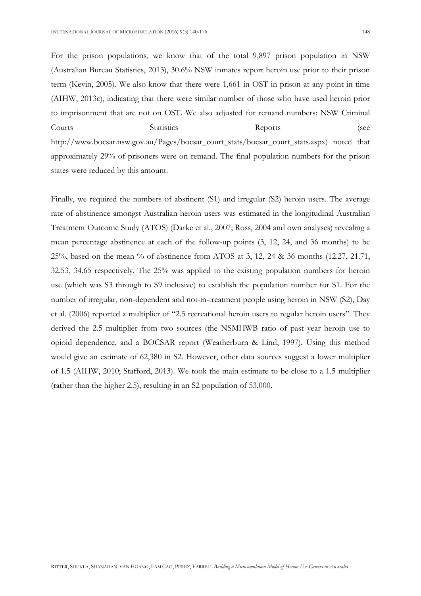For the prison populations, we know that of the total 9,897 prison population in NSW (Australian Bureau Statistics, 2013), 30.6% NSW inmates report heroin use prior to their prison term (Kevin, 2005). We also know that there were 1,661 in OST in prison at any point in time (AIHW, 2013c), indicating that there were similar number of those who have used heroin prior to imprisonment that are not on OST. We also adjusted for remand numbers: NSW Criminal Courts Statistics Reports (see http://www.bocsar.nsw.gov.au/Pages/bocsar\_court\_stats/bocsar\_court\_stats.aspx) noted that approximately 29% of prisoners were on remand. The final population numbers for the prison states were reduced by this amount.

Finally, we required the numbers of abstinent (S1) and irregular (S2) heroin users. The average rate of abstinence amongst Australian heroin users was estimated in the longitudinal Australian Treatment Outcome Study (ATOS) (Darke et al., 2007; Ross, 2004 and own analyses) revealing a mean percentage abstinence at each of the follow-up points (3, 12, 24, and 36 months) to be 25%, based on the mean % of abstinence from ATOS at 3, 12, 24 & 36 months (12.27, 21.71, 32.53, 34.65 respectively. The 25% was applied to the existing population numbers for heroin use (which was S3 through to S9 inclusive) to establish the population number for S1. For the number of irregular, non-dependent and not-in-treatment people using heroin in NSW (S2), Day et al. (2006) reported a multiplier of "2.5 recreational heroin users to regular heroin users". They derived the 2.5 multiplier from two sources (the NSMHWB ratio of past year heroin use to opioid dependence, and a BOCSAR report (Weatherburn & Lind, 1997). Using this method would give an estimate of 62,380 in S2. However, other data sources suggest a lower multiplier of 1.5 (AIHW, 2010; Stafford, 2013). We took the main estimate to be close to a 1.5 multiplier (rather than the higher 2.5), resulting in an S2 population of 53,000.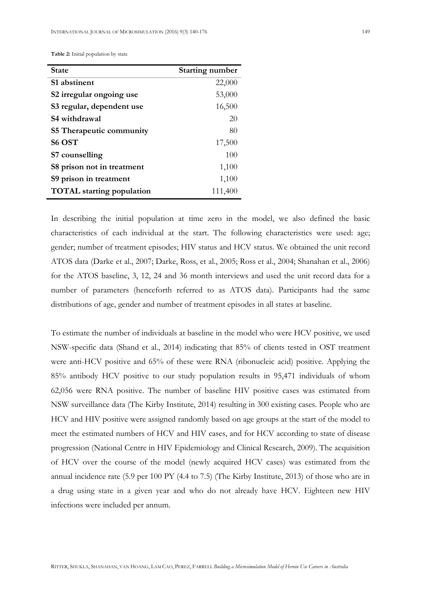| <b>State</b>                     | <b>Starting number</b> |
|----------------------------------|------------------------|
| S1 abstinent                     | 22,000                 |
| S2 irregular ongoing use         | 53,000                 |
| S3 regular, dependent use        | 16,500                 |
| S4 withdrawal                    | 20                     |
| <b>S5 Therapeutic community</b>  | 80                     |
| S6 OST                           | 17,500                 |
| S7 counselling                   | 100                    |
| S8 prison not in treatment       | 1,100                  |
| S9 prison in treatment           | 1,100                  |
| <b>TOTAL</b> starting population | 111,400                |

In describing the initial population at time zero in the model, we also defined the basic characteristics of each individual at the start. The following characteristics were used: age; gender; number of treatment episodes; HIV status and HCV status. We obtained the unit record ATOS data (Darke et al., 2007; Darke, Ross, et al., 2005; Ross et al., 2004; Shanahan et al., 2006) for the ATOS baseline, 3, 12, 24 and 36 month interviews and used the unit record data for a number of parameters (henceforth referred to as ATOS data). Participants had the same distributions of age, gender and number of treatment episodes in all states at baseline.

To estimate the number of individuals at baseline in the model who were HCV positive, we used NSW-specific data (Shand et al., 2014) indicating that 85% of clients tested in OST treatment were anti-HCV positive and 65% of these were RNA (ribonucleic acid) positive. Applying the 85% antibody HCV positive to our study population results in 95,471 individuals of whom 62,056 were RNA positive. The number of baseline HIV positive cases was estimated from NSW surveillance data (The Kirby Institute, 2014) resulting in 300 existing cases. People who are HCV and HIV positive were assigned randomly based on age groups at the start of the model to meet the estimated numbers of HCV and HIV cases, and for HCV according to state of disease progression (National Centre in HIV Epidemiology and Clinical Research, 2009). The acquisition of HCV over the course of the model (newly acquired HCV cases) was estimated from the annual incidence rate (5.9 per 100 PY (4.4 to 7.5) (The Kirby Institute, 2013) of those who are in a drug using state in a given year and who do not already have HCV. Eighteen new HIV infections were included per annum.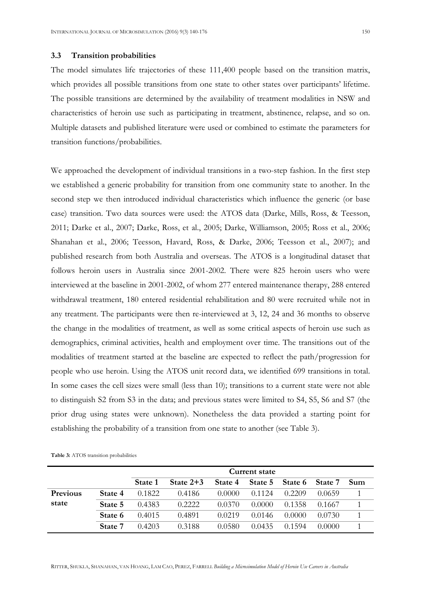#### 3.3 Transition probabilities

The model simulates life trajectories of these 111,400 people based on the transition matrix, which provides all possible transitions from one state to other states over participants' lifetime. The possible transitions are determined by the availability of treatment modalities in NSW and characteristics of heroin use such as participating in treatment, abstinence, relapse, and so on. Multiple datasets and published literature were used or combined to estimate the parameters for transition functions/probabilities.

We approached the development of individual transitions in a two-step fashion. In the first step we established a generic probability for transition from one community state to another. In the second step we then introduced individual characteristics which influence the generic (or base case) transition. Two data sources were used: the ATOS data (Darke, Mills, Ross, & Teesson, 2011; Darke et al., 2007; Darke, Ross, et al., 2005; Darke, Williamson, 2005; Ross et al., 2006; Shanahan et al., 2006; Teesson, Havard, Ross, & Darke, 2006; Teesson et al., 2007); and published research from both Australia and overseas. The ATOS is a longitudinal dataset that follows heroin users in Australia since 2001-2002. There were 825 heroin users who were interviewed at the baseline in 2001-2002, of whom 277 entered maintenance therapy, 288 entered withdrawal treatment, 180 entered residential rehabilitation and 80 were recruited while not in any treatment. The participants were then re-interviewed at 3, 12, 24 and 36 months to observe the change in the modalities of treatment, as well as some critical aspects of heroin use such as demographics, criminal activities, health and employment over time. The transitions out of the modalities of treatment started at the baseline are expected to reflect the path/progression for people who use heroin. Using the ATOS unit record data, we identified 699 transitions in total. In some cases the cell sizes were small (less than 10); transitions to a current state were not able to distinguish S2 from S3 in the data; and previous states were limited to S4, S5, S6 and S7 (the prior drug using states were unknown). Nonetheless the data provided a starting point for establishing the probability of a transition from one state to another (see Table 3).

|                 |         |         |             |         | Current state |         |         |     |  |
|-----------------|---------|---------|-------------|---------|---------------|---------|---------|-----|--|
|                 |         | State 1 | State $2+3$ | State 4 | State 5       | State 6 | State 7 | Sum |  |
| <b>Previous</b> | State 4 | 0.1822  | 0.4186      | 0.0000  | 0.1124        | 0.2209  | 0.0659  |     |  |
| state           | State 5 | 0.4383  | 0.2222      | 0.0370  | 0.0000        | 0.1358  | 0.1667  |     |  |
|                 | State 6 | 0.4015  | 0.4891      | 0.0219  | 0.0146        | 0.0000  | 0.0730  |     |  |
|                 | State 7 | 0.4203  | 0.3188      | 0.0580  | 0.0435        | በ 1594  | 0.0000  |     |  |

Table 3: ATOS transition probabilities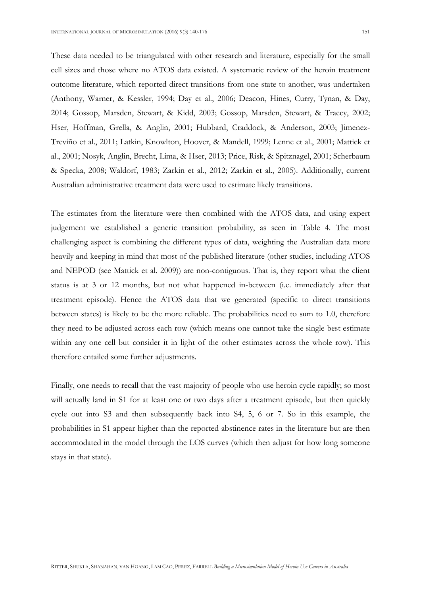These data needed to be triangulated with other research and literature, especially for the small cell sizes and those where no ATOS data existed. A systematic review of the heroin treatment outcome literature, which reported direct transitions from one state to another, was undertaken (Anthony, Warner, & Kessler, 1994; Day et al., 2006; Deacon, Hines, Curry, Tynan, & Day, 2014; Gossop, Marsden, Stewart, & Kidd, 2003; Gossop, Marsden, Stewart, & Traecy, 2002; Hser, Hoffman, Grella, & Anglin, 2001; Hubbard, Craddock, & Anderson, 2003; Jimenez-Treviño et al., 2011; Latkin, Knowlton, Hoover, & Mandell, 1999; Lenne et al., 2001; Mattick et al., 2001; Nosyk, Anglin, Brecht, Lima, & Hser, 2013; Price, Risk, & Spitznagel, 2001; Scherbaum & Specka, 2008; Waldorf, 1983; Zarkin et al., 2012; Zarkin et al., 2005). Additionally, current Australian administrative treatment data were used to estimate likely transitions.

The estimates from the literature were then combined with the ATOS data, and using expert judgement we established a generic transition probability, as seen in Table 4. The most challenging aspect is combining the different types of data, weighting the Australian data more heavily and keeping in mind that most of the published literature (other studies, including ATOS and NEPOD (see Mattick et al. 2009)) are non-contiguous. That is, they report what the client status is at 3 or 12 months, but not what happened in-between (i.e. immediately after that treatment episode). Hence the ATOS data that we generated (specific to direct transitions between states) is likely to be the more reliable. The probabilities need to sum to 1.0, therefore they need to be adjusted across each row (which means one cannot take the single best estimate within any one cell but consider it in light of the other estimates across the whole row). This therefore entailed some further adjustments.

Finally, one needs to recall that the vast majority of people who use heroin cycle rapidly; so most will actually land in S1 for at least one or two days after a treatment episode, but then quickly cycle out into S3 and then subsequently back into S4, 5, 6 or 7. So in this example, the probabilities in S1 appear higher than the reported abstinence rates in the literature but are then accommodated in the model through the LOS curves (which then adjust for how long someone stays in that state).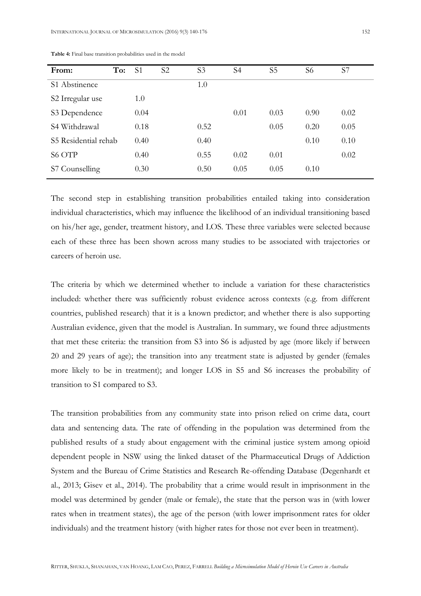| From:                | To: | S <sub>1</sub> | S <sub>2</sub> | S <sub>3</sub> | S <sub>4</sub> | S <sub>5</sub> | S <sub>6</sub> | S7   |
|----------------------|-----|----------------|----------------|----------------|----------------|----------------|----------------|------|
| S1 Abstinence        |     |                |                | 1.0            |                |                |                |      |
| S2 Irregular use     |     | 1.0            |                |                |                |                |                |      |
| S3 Dependence        |     | 0.04           |                |                | 0.01           | 0.03           | 0.90           | 0.02 |
| S4 Withdrawal        |     | 0.18           |                | 0.52           |                | 0.05           | 0.20           | 0.05 |
| S5 Residential rehab |     | 0.40           |                | 0.40           |                |                | 0.10           | 0.10 |
| S6 OTP               |     | 0.40           |                | 0.55           | 0.02           | 0.01           |                | 0.02 |
| S7 Counselling       |     | 0.30           |                | 0.50           | 0.05           | 0.05           | 0.10           |      |

Table 4: Final base transition probabilities used in the model

The second step in establishing transition probabilities entailed taking into consideration individual characteristics, which may influence the likelihood of an individual transitioning based on his/her age, gender, treatment history, and LOS. These three variables were selected because each of these three has been shown across many studies to be associated with trajectories or careers of heroin use.

The criteria by which we determined whether to include a variation for these characteristics included: whether there was sufficiently robust evidence across contexts (e.g. from different countries, published research) that it is a known predictor; and whether there is also supporting Australian evidence, given that the model is Australian. In summary, we found three adjustments that met these criteria: the transition from S3 into S6 is adjusted by age (more likely if between 20 and 29 years of age); the transition into any treatment state is adjusted by gender (females more likely to be in treatment); and longer LOS in S5 and S6 increases the probability of transition to S1 compared to S3.

The transition probabilities from any community state into prison relied on crime data, court data and sentencing data. The rate of offending in the population was determined from the published results of a study about engagement with the criminal justice system among opioid dependent people in NSW using the linked dataset of the Pharmaceutical Drugs of Addiction System and the Bureau of Crime Statistics and Research Re-offending Database (Degenhardt et al., 2013; Gisev et al., 2014). The probability that a crime would result in imprisonment in the model was determined by gender (male or female), the state that the person was in (with lower rates when in treatment states), the age of the person (with lower imprisonment rates for older individuals) and the treatment history (with higher rates for those not ever been in treatment).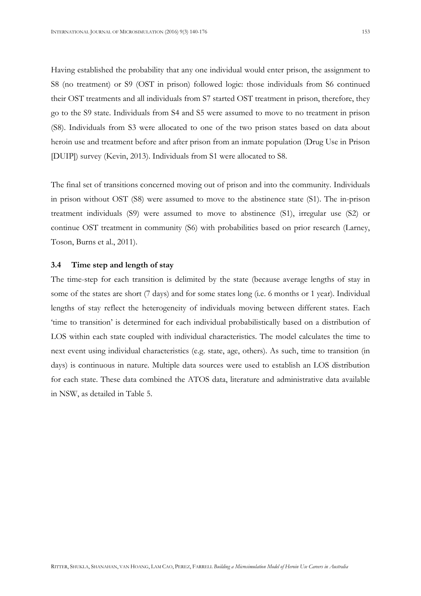Having established the probability that any one individual would enter prison, the assignment to S8 (no treatment) or S9 (OST in prison) followed logic: those individuals from S6 continued their OST treatments and all individuals from S7 started OST treatment in prison, therefore, they go to the S9 state. Individuals from S4 and S5 were assumed to move to no treatment in prison (S8). Individuals from S3 were allocated to one of the two prison states based on data about heroin use and treatment before and after prison from an inmate population (Drug Use in Prison [DUIP]) survey (Kevin, 2013). Individuals from S1 were allocated to S8.

The final set of transitions concerned moving out of prison and into the community. Individuals in prison without OST (S8) were assumed to move to the abstinence state (S1). The in-prison treatment individuals (S9) were assumed to move to abstinence (S1), irregular use (S2) or continue OST treatment in community (S6) with probabilities based on prior research (Larney, Toson, Burns et al., 2011).

#### 3.4 Time step and length of stay

The time-step for each transition is delimited by the state (because average lengths of stay in some of the states are short (7 days) and for some states long (i.e. 6 months or 1 year). Individual lengths of stay reflect the heterogeneity of individuals moving between different states. Each 'time to transition' is determined for each individual probabilistically based on a distribution of LOS within each state coupled with individual characteristics. The model calculates the time to next event using individual characteristics (e.g. state, age, others). As such, time to transition (in days) is continuous in nature. Multiple data sources were used to establish an LOS distribution for each state. These data combined the ATOS data, literature and administrative data available in NSW, as detailed in Table 5.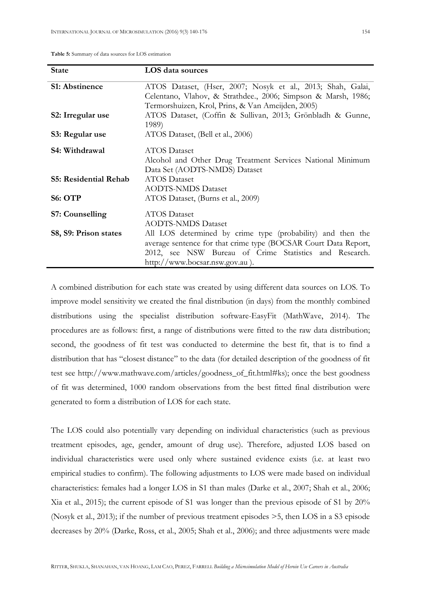Table 5: Summary of data sources for LOS estimation

| <b>State</b>                 | LOS data sources                                                |
|------------------------------|-----------------------------------------------------------------|
| <b>S1: Abstinence</b>        | ATOS Dataset, (Hser, 2007; Nosyk et al., 2013; Shah, Galai,     |
|                              | Celentano, Vlahov, & Strathdee., 2006; Simpson & Marsh, 1986;   |
|                              | Termorshuizen, Krol, Prins, & Van Ameijden, 2005)               |
| S2: Irregular use            | ATOS Dataset, (Coffin & Sullivan, 2013; Grönbladh & Gunne,      |
|                              | 1989)                                                           |
| S3: Regular use              | ATOS Dataset, (Bell et al., 2006)                               |
| S4: Withdrawal               | <b>ATOS</b> Dataset                                             |
|                              | Alcohol and Other Drug Treatment Services National Minimum      |
|                              | Data Set (AODTS-NMDS) Dataset                                   |
| <b>S5: Residential Rehab</b> | <b>ATOS</b> Dataset                                             |
|                              | <b>AODTS-NMDS Dataset</b>                                       |
| <b>S6: OTP</b>               | ATOS Dataset, (Burns et al., 2009)                              |
| <b>S7: Counselling</b>       | <b>ATOS</b> Dataset                                             |
|                              | <b>AODTS-NMDS Dataset</b>                                       |
| S8, S9: Prison states        | All LOS determined by crime type (probability) and then the     |
|                              | average sentence for that crime type (BOCSAR Court Data Report, |
|                              | 2012, see NSW Bureau of Crime Statistics and Research.          |
|                              | http://www.bocsar.nsw.gov.au).                                  |

A combined distribution for each state was created by using different data sources on LOS. To improve model sensitivity we created the final distribution (in days) from the monthly combined distributions using the specialist distribution software-EasyFit (MathWave, 2014). The procedures are as follows: first, a range of distributions were fitted to the raw data distribution; second, the goodness of fit test was conducted to determine the best fit, that is to find a distribution that has "closest distance" to the data (for detailed description of the goodness of fit test see http://www.mathwave.com/articles/goodness\_of\_fit.html#ks); once the best goodness of fit was determined, 1000 random observations from the best fitted final distribution were generated to form a distribution of LOS for each state.

The LOS could also potentially vary depending on individual characteristics (such as previous treatment episodes, age, gender, amount of drug use). Therefore, adjusted LOS based on individual characteristics were used only where sustained evidence exists (i.e. at least two empirical studies to confirm). The following adjustments to LOS were made based on individual characteristics: females had a longer LOS in S1 than males (Darke et al., 2007; Shah et al., 2006; Xia et al., 2015); the current episode of S1 was longer than the previous episode of S1 by 20% (Nosyk et al., 2013); if the number of previous treatment episodes >5, then LOS in a S3 episode decreases by 20% (Darke, Ross, et al., 2005; Shah et al., 2006); and three adjustments were made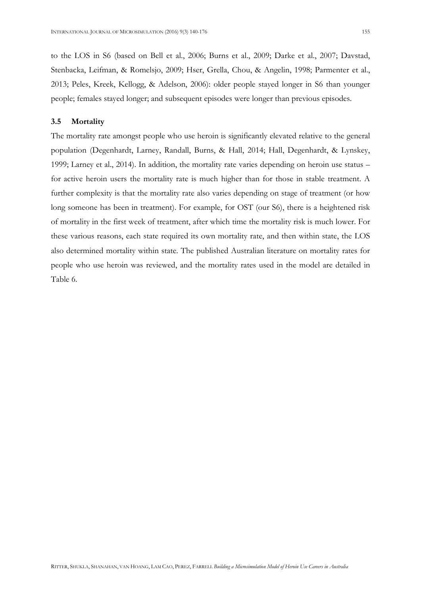to the LOS in S6 (based on Bell et al., 2006; Burns et al., 2009; Darke et al., 2007; Davstad, Stenbacka, Leifman, & Romelsjo, 2009; Hser, Grella, Chou, & Angelin, 1998; Parmenter et al., 2013; Peles, Kreek, Kellogg, & Adelson, 2006): older people stayed longer in S6 than younger people; females stayed longer; and subsequent episodes were longer than previous episodes.

### 3.5 Mortality

The mortality rate amongst people who use heroin is significantly elevated relative to the general population (Degenhardt, Larney, Randall, Burns, & Hall, 2014; Hall, Degenhardt, & Lynskey, 1999; Larney et al., 2014). In addition, the mortality rate varies depending on heroin use status – for active heroin users the mortality rate is much higher than for those in stable treatment. A further complexity is that the mortality rate also varies depending on stage of treatment (or how long someone has been in treatment). For example, for OST (our S6), there is a heightened risk of mortality in the first week of treatment, after which time the mortality risk is much lower. For these various reasons, each state required its own mortality rate, and then within state, the LOS also determined mortality within state. The published Australian literature on mortality rates for people who use heroin was reviewed, and the mortality rates used in the model are detailed in Table 6.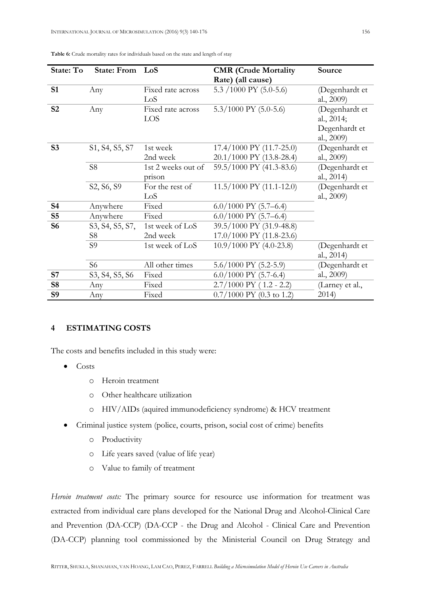| <b>State: To</b> | State: From LoS |                    | <b>CMR</b> (Crude Mortality           | Source          |
|------------------|-----------------|--------------------|---------------------------------------|-----------------|
|                  |                 |                    | Rate) (all cause)                     |                 |
| S1               | Any             | Fixed rate across  | 5.3 /1000 PY (5.0-5.6)                | (Degenhardt et  |
|                  |                 | LoS                |                                       | al., 2009)      |
| <b>S2</b>        | Any             | Fixed rate across  | $5.3/1000$ PY $(5.0-5.6)$             | (Degenhardt et  |
|                  |                 | LOS                |                                       | al., 2014;      |
|                  |                 |                    |                                       | Degenhardt et   |
|                  |                 |                    |                                       | al., 2009)      |
| S <sub>3</sub>   | S1, S4, S5, S7  | 1st week           | 17.4/1000 PY (11.7-25.0)              | (Degenhardt et  |
|                  |                 | 2nd week           | 20.1/1000 PY (13.8-28.4)              | al., 2009)      |
|                  | S <sub>8</sub>  | 1st 2 weeks out of | 59.5/1000 PY (41.3-83.6)              | (Degenhardt et  |
|                  |                 | prison             |                                       | al., 2014)      |
|                  | S2, S6, S9      | For the rest of    | 11.5/1000 PY (11.1-12.0)              | (Degenhardt et  |
|                  |                 | LoS                |                                       | al., 2009)      |
| <b>S4</b>        | Anywhere        | Fixed              | $6.0/1000$ PY $(5.7–6.4)$             |                 |
| S <sub>5</sub>   | Anywhere        | Fixed              | $6.0/1000$ PY $(5.7–6.4)$             |                 |
| <b>S6</b>        | S3, S4, S5, S7, | 1st week of LoS    | 39.5/1000 PY (31.9-48.8)              |                 |
|                  | S8              | 2nd week           | 17.0/1000 PY (11.8-23.6)              |                 |
|                  | S <sub>9</sub>  | 1st week of LoS    | 10.9/1000 PY (4.0-23.8)               | (Degenhardt et  |
|                  |                 |                    |                                       | al., 2014)      |
|                  | S <sub>6</sub>  | All other times    | $5.6/1000$ PY $(5.2-5.9)$             | (Degenhardt et  |
| <b>S7</b>        | S3, S4, S5, S6  | Fixed              | $6.0/1000$ PY $(5.7-6.4)$             | al., 2009)      |
| <b>S8</b>        | Any             | Fixed              | $2.7/1000$ PY (1.2 - 2.2)             | (Larney et al., |
| <b>S9</b>        | Any             | Fixed              | $0.7/1000$ PY $(0.3 \text{ to } 1.2)$ | 2014)           |

Table 6: Crude mortality rates for individuals based on the state and length of stay

## 4 ESTIMATING COSTS

The costs and benefits included in this study were:

- Costs
	- o Heroin treatment
	- o Other healthcare utilization
	- o HIV/AIDs (aquired immunodeficiency syndrome) & HCV treatment
- Criminal justice system (police, courts, prison, social cost of crime) benefits
	- o Productivity
	- o Life years saved (value of life year)
	- o Value to family of treatment

Heroin treatment costs: The primary source for resource use information for treatment was extracted from individual care plans developed for the National Drug and Alcohol-Clinical Care and Prevention (DA-CCP) (DA-CCP - the Drug and Alcohol - Clinical Care and Prevention (DA-CCP) planning tool commissioned by the Ministerial Council on Drug Strategy and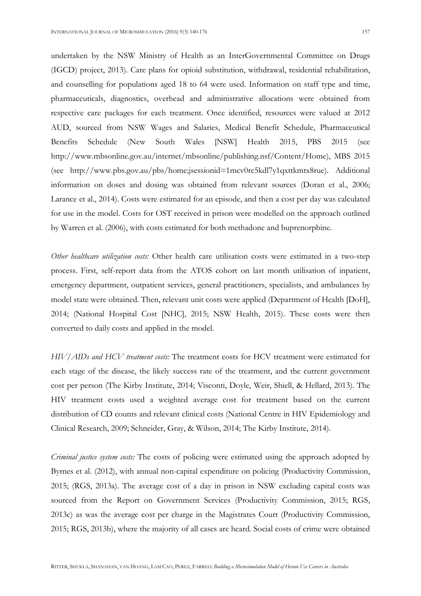undertaken by the NSW Ministry of Health as an InterGovernmental Committee on Drugs (IGCD) project, 2013). Care plans for opioid substitution, withdrawal, residential rehabilitation, and counselling for populations aged 18 to 64 were used. Information on staff type and time, pharmaceuticals, diagnostics, overhead and administrative allocations were obtained from respective care packages for each treatment. Once identified, resources were valued at 2012 AUD, sourced from NSW Wages and Salaries, Medical Benefit Schedule, Pharmaceutical Benefits Schedule (New South Wales [NSW] Health 2015, PBS 2015 (see http://www.mbsonline.gov.au/internet/mbsonline/publishing.nsf/Content/Home), MBS 2015 (see http://www.pbs.gov.au/pbs/home;jsessionid=1mcv0rc5kdl7y1qxttkmtx8rue). Additional information on doses and dosing was obtained from relevant sources (Doran et al., 2006; Larance et al., 2014). Costs were estimated for an episode, and then a cost per day was calculated for use in the model. Costs for OST received in prison were modelled on the approach outlined by Warren et al. (2006), with costs estimated for both methadone and buprenorphine.

Other healthcare utilization costs: Other health care utilisation costs were estimated in a two-step process. First, self-report data from the ATOS cohort on last month utilisation of inpatient, emergency department, outpatient services, general practitioners, specialists, and ambulances by model state were obtained. Then, relevant unit costs were applied (Department of Health [DoH], 2014; (National Hospital Cost [NHC], 2015; NSW Health, 2015). These costs were then converted to daily costs and applied in the model.

HIV/AIDs and HCV treatment costs: The treatment costs for HCV treatment were estimated for each stage of the disease, the likely success rate of the treatment, and the current government cost per person (The Kirby Institute, 2014; Visconti, Doyle, Weir, Shiell, & Hellard, 2013). The HIV treatment costs used a weighted average cost for treatment based on the current distribution of CD counts and relevant clinical costs (National Centre in HIV Epidemiology and Clinical Research, 2009; Schneider, Gray, & Wilson, 2014; The Kirby Institute, 2014).

Criminal justice system costs: The costs of policing were estimated using the approach adopted by Byrnes et al. (2012), with annual non-capital expenditure on policing (Productivity Commission, 2015; (RGS, 2013a). The average cost of a day in prison in NSW excluding capital costs was sourced from the Report on Government Services (Productivity Commission, 2015; RGS, 2013c) as was the average cost per charge in the Magistrates Court (Productivity Commission, 2015; RGS, 2013b), where the majority of all cases are heard. Social costs of crime were obtained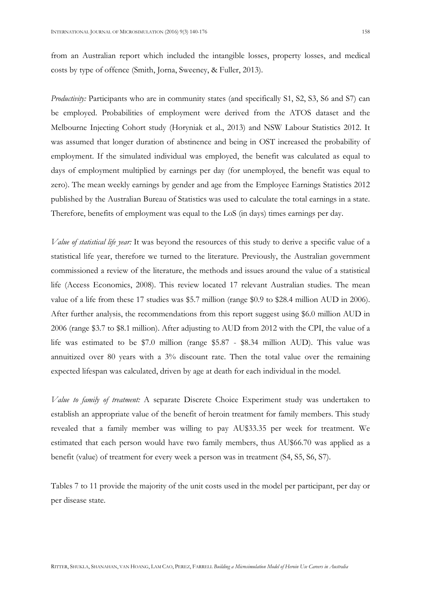Productivity: Participants who are in community states (and specifically S1, S2, S3, S6 and S7) can be employed. Probabilities of employment were derived from the ATOS dataset and the Melbourne Injecting Cohort study (Horyniak et al., 2013) and NSW Labour Statistics 2012. It was assumed that longer duration of abstinence and being in OST increased the probability of employment. If the simulated individual was employed, the benefit was calculated as equal to days of employment multiplied by earnings per day (for unemployed, the benefit was equal to zero). The mean weekly earnings by gender and age from the Employee Earnings Statistics 2012 published by the Australian Bureau of Statistics was used to calculate the total earnings in a state. Therefore, benefits of employment was equal to the LoS (in days) times earnings per day.

Value of statistical life year: It was beyond the resources of this study to derive a specific value of a statistical life year, therefore we turned to the literature. Previously, the Australian government commissioned a review of the literature, the methods and issues around the value of a statistical life (Access Economics, 2008). This review located 17 relevant Australian studies. The mean value of a life from these 17 studies was \$5.7 million (range \$0.9 to \$28.4 million AUD in 2006). After further analysis, the recommendations from this report suggest using \$6.0 million AUD in 2006 (range \$3.7 to \$8.1 million). After adjusting to AUD from 2012 with the CPI, the value of a life was estimated to be \$7.0 million (range \$5.87 - \$8.34 million AUD). This value was annuitized over 80 years with a 3% discount rate. Then the total value over the remaining expected lifespan was calculated, driven by age at death for each individual in the model.

Value to family of treatment: A separate Discrete Choice Experiment study was undertaken to establish an appropriate value of the benefit of heroin treatment for family members. This study revealed that a family member was willing to pay AU\$33.35 per week for treatment. We estimated that each person would have two family members, thus AU\$66.70 was applied as a benefit (value) of treatment for every week a person was in treatment (S4, S5, S6, S7).

Tables 7 to 11 provide the majority of the unit costs used in the model per participant, per day or per disease state.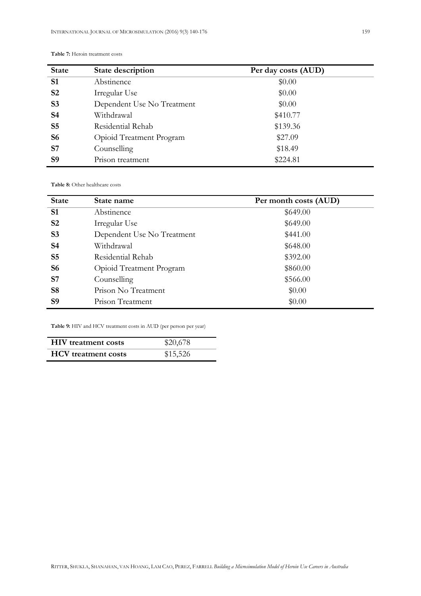| <b>State</b>   | State description          | Per day costs (AUD) |
|----------------|----------------------------|---------------------|
| S <sub>1</sub> | Abstinence                 | \$0.00              |
| S <sub>2</sub> | Irregular Use              | \$0.00              |
| S <sub>3</sub> | Dependent Use No Treatment | \$0.00              |
| <b>S4</b>      | Withdrawal                 | \$410.77            |
| S <sub>5</sub> | Residential Rehab          | \$139.36            |
| <b>S6</b>      | Opioid Treatment Program   | \$27.09             |
| S7             | Counselling                | \$18.49             |
| <b>S9</b>      | Prison treatment           | \$224.81            |

#### Table 7: Heroin treatment costs

Table 8: Other healthcare costs

| <b>State</b>   | State name                 | Per month costs (AUD) |
|----------------|----------------------------|-----------------------|
| S <sub>1</sub> | Abstinence                 | \$649.00              |
| S <sub>2</sub> | Irregular Use              | \$649.00              |
| S <sub>3</sub> | Dependent Use No Treatment | \$441.00              |
| <b>S4</b>      | Withdrawal                 | \$648.00              |
| S <sub>5</sub> | Residential Rehab          | \$392.00              |
| <b>S6</b>      | Opioid Treatment Program   | \$860.00              |
| S <sub>7</sub> | Counselling                | \$566.00              |
| <b>S8</b>      | Prison No Treatment        | \$0.00                |
| <b>S9</b>      | Prison Treatment           | \$0.00                |

Table 9: HIV and HCV treatment costs in AUD (per person per year)

| <b>HIV</b> treatment costs | \$20,678 |
|----------------------------|----------|
| <b>HCV</b> treatment costs | \$15,526 |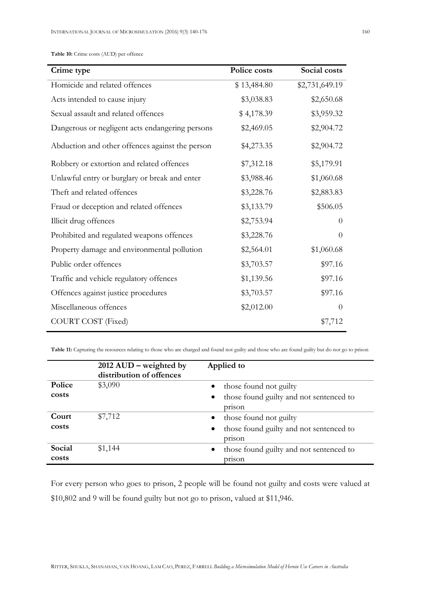| Crime type                                      | Police costs | Social costs   |
|-------------------------------------------------|--------------|----------------|
| Homicide and related offences                   | \$13,484.80  | \$2,731,649.19 |
| Acts intended to cause injury                   | \$3,038.83   | \$2,650.68     |
| Sexual assault and related offences             | \$4,178.39   | \$3,959.32     |
| Dangerous or negligent acts endangering persons | \$2,469.05   | \$2,904.72     |
| Abduction and other offences against the person | \$4,273.35   | \$2,904.72     |
| Robbery or extortion and related offences       | \$7,312.18   | \$5,179.91     |
| Unlawful entry or burglary or break and enter   | \$3,988.46   | \$1,060.68     |
| Theft and related offences                      | \$3,228.76   | \$2,883.83     |
| Fraud or deception and related offences         | \$3,133.79   | \$506.05       |
| Illicit drug offences                           | \$2,753.94   | $\theta$       |
| Prohibited and regulated weapons offences       | \$3,228.76   | $\Omega$       |
| Property damage and environmental pollution     | \$2,564.01   | \$1,060.68     |
| Public order offences                           | \$3,703.57   | \$97.16        |
| Traffic and vehicle regulatory offences         | \$1,139.56   | \$97.16        |
| Offences against justice procedures             | \$3,703.57   | \$97.16        |
| Miscellaneous offences                          | \$2,012.00   | $\theta$       |
| <b>COURT COST</b> (Fixed)                       |              | \$7,712        |

Table 11: Capturing the resources relating to those who are charged and found not guilty and those who are found guilty but do not go to prison

|                 | $2012 \text{ AUD}$ – weighted by<br>distribution of offences | Applied to                                                     |
|-----------------|--------------------------------------------------------------|----------------------------------------------------------------|
| Police          | \$3,090                                                      | those found not guilty                                         |
| costs           |                                                              | those found guilty and not sentenced to<br>$\bullet$<br>prison |
| Court           | \$7,712                                                      | those found not guilty<br>$\bullet$                            |
| costs           |                                                              | those found guilty and not sentenced to<br>$\bullet$<br>prison |
| Social<br>costs | \$1,144                                                      | those found guilty and not sentenced to<br>$\bullet$<br>prison |

For every person who goes to prison, 2 people will be found not guilty and costs were valued at \$10,802 and 9 will be found guilty but not go to prison, valued at \$11,946.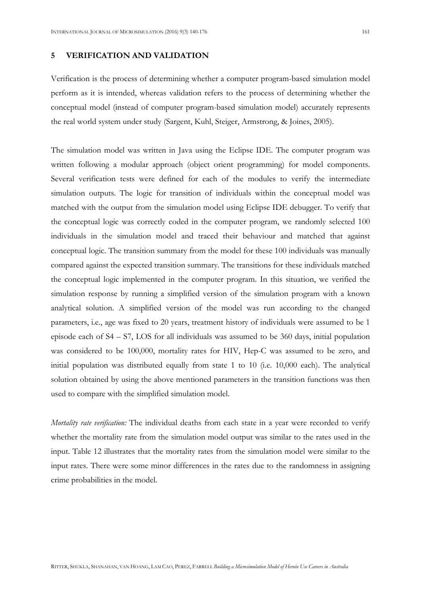#### 5 VERIFICATION AND VALIDATION

Verification is the process of determining whether a computer program-based simulation model perform as it is intended, whereas validation refers to the process of determining whether the conceptual model (instead of computer program-based simulation model) accurately represents the real world system under study (Sargent, Kuhl, Steiger, Armstrong, & Joines, 2005).

The simulation model was written in Java using the Eclipse IDE. The computer program was written following a modular approach (object orient programming) for model components. Several verification tests were defined for each of the modules to verify the intermediate simulation outputs. The logic for transition of individuals within the conceptual model was matched with the output from the simulation model using Eclipse IDE debugger. To verify that the conceptual logic was correctly coded in the computer program, we randomly selected 100 individuals in the simulation model and traced their behaviour and matched that against conceptual logic. The transition summary from the model for these 100 individuals was manually compared against the expected transition summary. The transitions for these individuals matched the conceptual logic implemented in the computer program. In this situation, we verified the simulation response by running a simplified version of the simulation program with a known analytical solution. A simplified version of the model was run according to the changed parameters, i.e., age was fixed to 20 years, treatment history of individuals were assumed to be 1 episode each of S4 – S7, LOS for all individuals was assumed to be 360 days, initial population was considered to be 100,000, mortality rates for HIV, Hep-C was assumed to be zero, and initial population was distributed equally from state 1 to 10 (i.e. 10,000 each). The analytical solution obtained by using the above mentioned parameters in the transition functions was then used to compare with the simplified simulation model.

Mortality rate verification: The individual deaths from each state in a year were recorded to verify whether the mortality rate from the simulation model output was similar to the rates used in the input. Table 12 illustrates that the mortality rates from the simulation model were similar to the input rates. There were some minor differences in the rates due to the randomness in assigning crime probabilities in the model.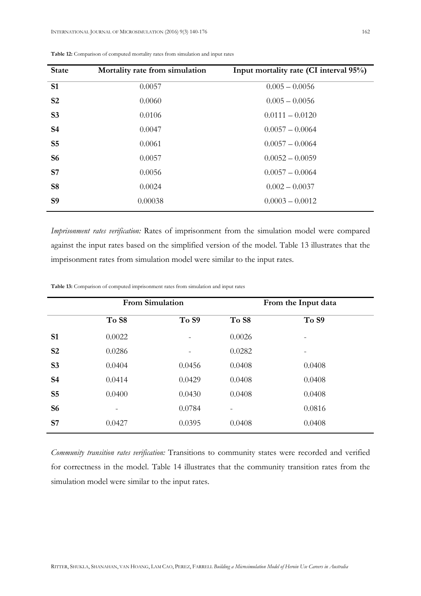| <b>State</b>   | Mortality rate from simulation | Input mortality rate (CI interval 95%) |
|----------------|--------------------------------|----------------------------------------|
| S <sub>1</sub> | 0.0057                         | $0.005 - 0.0056$                       |
| S <sub>2</sub> | 0.0060                         | $0.005 - 0.0056$                       |
| S <sub>3</sub> | 0.0106                         | $0.0111 - 0.0120$                      |
| <b>S4</b>      | 0.0047                         | $0.0057 - 0.0064$                      |
| S <sub>5</sub> | 0.0061                         | $0.0057 - 0.0064$                      |
| <b>S6</b>      | 0.0057                         | $0.0052 - 0.0059$                      |
| <b>S7</b>      | 0.0056                         | $0.0057 - 0.0064$                      |
| <b>S8</b>      | 0.0024                         | $0.002 - 0.0037$                       |
| <b>S9</b>      | 0.00038                        | $0.0003 - 0.0012$                      |

Table 12: Comparison of computed mortality rates from simulation and input rates

Imprisonment rates verification: Rates of imprisonment from the simulation model were compared against the input rates based on the simplified version of the model. Table 13 illustrates that the imprisonment rates from simulation model were similar to the input rates.

|                |        | <b>From Simulation</b> | From the Input data |        |  |  |  |  |
|----------------|--------|------------------------|---------------------|--------|--|--|--|--|
|                | To S8  | To S9                  | To S8               | To S9  |  |  |  |  |
| S <sub>1</sub> | 0.0022 |                        | 0.0026              |        |  |  |  |  |
| S <sub>2</sub> | 0.0286 |                        | 0.0282              |        |  |  |  |  |
| S <sub>3</sub> | 0.0404 | 0.0456                 | 0.0408              | 0.0408 |  |  |  |  |
| <b>S4</b>      | 0.0414 | 0.0429                 | 0.0408              | 0.0408 |  |  |  |  |
| S <sub>5</sub> | 0.0400 | 0.0430                 | 0.0408              | 0.0408 |  |  |  |  |
| <b>S6</b>      |        | 0.0784                 |                     | 0.0816 |  |  |  |  |
| S <sub>7</sub> | 0.0427 | 0.0395                 | 0.0408              | 0.0408 |  |  |  |  |

Table 13: Comparison of computed imprisonment rates from simulation and input rates

Community transition rates verification: Transitions to community states were recorded and verified for correctness in the model. Table 14 illustrates that the community transition rates from the simulation model were similar to the input rates.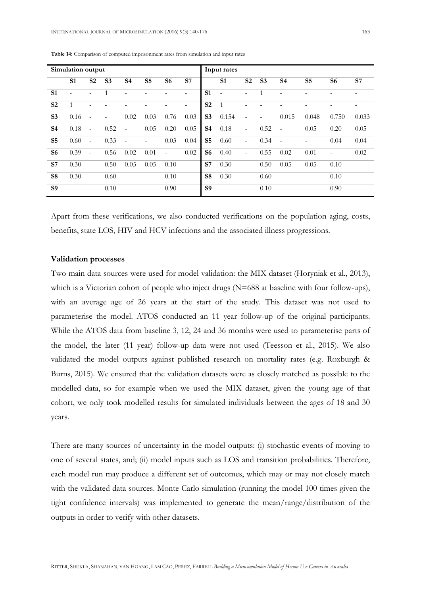| Simulation output |           |                          |                          |                | Input rates    |                          |        |                |                |                          |                |                          |                |       |        |
|-------------------|-----------|--------------------------|--------------------------|----------------|----------------|--------------------------|--------|----------------|----------------|--------------------------|----------------|--------------------------|----------------|-------|--------|
|                   | <b>S1</b> | S <sub>2</sub>           | S <sub>3</sub>           | S <sub>4</sub> | S <sub>5</sub> | S <sub>6</sub>           | S7     |                | <b>S1</b>      | S <sub>2</sub>           | S <sub>3</sub> | S <sub>4</sub>           | S <sub>5</sub> | S6    | S7     |
| <b>S1</b>         | $\equiv$  | ٠                        | 1                        |                |                |                          |        | <b>S1</b>      | $\blacksquare$ | $\overline{\phantom{a}}$ |                |                          |                |       |        |
| S <sub>2</sub>    |           |                          |                          |                |                |                          |        | S <sub>2</sub> | $\overline{1}$ |                          |                |                          |                |       |        |
| S <sub>3</sub>    | 0.16      | $\blacksquare$           | $\overline{\phantom{0}}$ | 0.02           | 0.03           | 0.76                     | 0.03   | S <sub>3</sub> | 0.154          |                          |                | 0.015                    | 0.048          | 0.750 | 0.033  |
| <b>S4</b>         | 0.18      | $\blacksquare$           | 0.52                     | $\sim$         | 0.05           | 0.20                     | 0.05   | <b>S4</b>      | 0.18           | $\overline{\phantom{a}}$ | 0.52           | $\overline{a}$           | 0.05           | 0.20  | 0.05   |
| S <sub>5</sub>    | 0.60      | $\overline{\phantom{a}}$ | 0.33                     | $\sim$         | ٠              | 0.03                     | 0.04   | S <sub>5</sub> | 0.60           | $\bar{ }$                | 0.34           | ÷,                       |                | 0.04  | 0.04   |
| <b>S6</b>         | 0.39      | $\bar{a}$                | 0.56                     | 0.02           | 0.01           | $\overline{\phantom{a}}$ | 0.02   | <b>S6</b>      | 0.40           | $\bar{ }$                | 0.55           | 0.02                     | 0.01           | ٠     | 0.02   |
| <b>S7</b>         | 0.30      | $\overline{a}$           | 0.50                     | 0.05           | 0.05           | 0.10                     | $\sim$ | S7             | 0.30           | $\overline{\phantom{a}}$ | 0.50           | 0.05                     | 0.05           | 0.10  |        |
| <b>S8</b>         | 0.30      | ÷.                       | 0.60                     | $\sim$         | ٠              | 0.10                     | $\sim$ | S <sub>8</sub> | 0.30           | $\equiv$                 | 0.60           | $\overline{\phantom{a}}$ |                | 0.10  | $\sim$ |
| <b>S9</b>         |           | ä,                       | 0.10                     | $\sim$         | ٠              | 0.90                     | $\sim$ | <b>S9</b>      | $\sim$         | $\overline{\phantom{a}}$ | 0.10           | $\overline{\phantom{a}}$ |                | 0.90  |        |

Table 14: Comparison of computed imprisonment rates from simulation and input rates

Apart from these verifications, we also conducted verifications on the population aging, costs, benefits, state LOS, HIV and HCV infections and the associated illness progressions.

#### Validation processes

Two main data sources were used for model validation: the MIX dataset (Horyniak et al., 2013), which is a Victorian cohort of people who inject drugs (N=688 at baseline with four follow-ups), with an average age of 26 years at the start of the study. This dataset was not used to parameterise the model. ATOS conducted an 11 year follow-up of the original participants. While the ATOS data from baseline 3, 12, 24 and 36 months were used to parameterise parts of the model, the later (11 year) follow-up data were not used (Teesson et al., 2015). We also validated the model outputs against published research on mortality rates (e.g. Roxburgh & Burns, 2015). We ensured that the validation datasets were as closely matched as possible to the modelled data, so for example when we used the MIX dataset, given the young age of that cohort, we only took modelled results for simulated individuals between the ages of 18 and 30 years.

There are many sources of uncertainty in the model outputs: (i) stochastic events of moving to one of several states, and; (ii) model inputs such as LOS and transition probabilities. Therefore, each model run may produce a different set of outcomes, which may or may not closely match with the validated data sources. Monte Carlo simulation (running the model 100 times given the tight confidence intervals) was implemented to generate the mean/range/distribution of the outputs in order to verify with other datasets.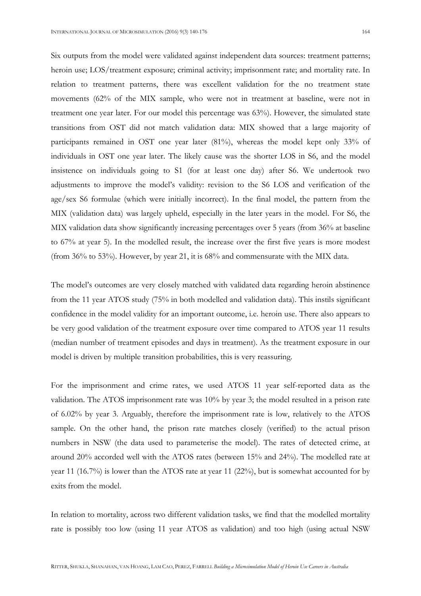Six outputs from the model were validated against independent data sources: treatment patterns; heroin use; LOS/treatment exposure; criminal activity; imprisonment rate; and mortality rate. In relation to treatment patterns, there was excellent validation for the no treatment state movements (62% of the MIX sample, who were not in treatment at baseline, were not in treatment one year later. For our model this percentage was 63%). However, the simulated state transitions from OST did not match validation data: MIX showed that a large majority of participants remained in OST one year later (81%), whereas the model kept only 33% of individuals in OST one year later. The likely cause was the shorter LOS in S6, and the model insistence on individuals going to S1 (for at least one day) after S6. We undertook two adjustments to improve the model's validity: revision to the S6 LOS and verification of the age/sex S6 formulae (which were initially incorrect). In the final model, the pattern from the MIX (validation data) was largely upheld, especially in the later years in the model. For S6, the MIX validation data show significantly increasing percentages over 5 years (from 36% at baseline to 67% at year 5). In the modelled result, the increase over the first five years is more modest (from 36% to 53%). However, by year 21, it is 68% and commensurate with the MIX data.

The model's outcomes are very closely matched with validated data regarding heroin abstinence from the 11 year ATOS study (75% in both modelled and validation data). This instils significant confidence in the model validity for an important outcome, i.e. heroin use. There also appears to be very good validation of the treatment exposure over time compared to ATOS year 11 results (median number of treatment episodes and days in treatment). As the treatment exposure in our model is driven by multiple transition probabilities, this is very reassuring.

For the imprisonment and crime rates, we used ATOS 11 year self-reported data as the validation. The ATOS imprisonment rate was 10% by year 3; the model resulted in a prison rate of 6.02% by year 3. Arguably, therefore the imprisonment rate is low, relatively to the ATOS sample. On the other hand, the prison rate matches closely (verified) to the actual prison numbers in NSW (the data used to parameterise the model). The rates of detected crime, at around 20% accorded well with the ATOS rates (between 15% and 24%). The modelled rate at year 11 (16.7%) is lower than the ATOS rate at year 11 (22%), but is somewhat accounted for by exits from the model.

In relation to mortality, across two different validation tasks, we find that the modelled mortality rate is possibly too low (using 11 year ATOS as validation) and too high (using actual NSW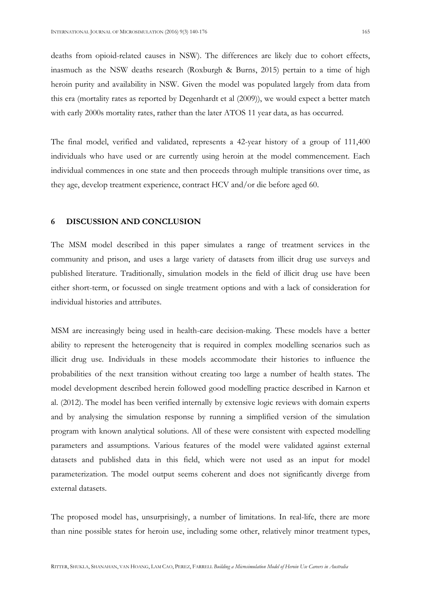deaths from opioid-related causes in NSW). The differences are likely due to cohort effects, inasmuch as the NSW deaths research (Roxburgh & Burns, 2015) pertain to a time of high heroin purity and availability in NSW. Given the model was populated largely from data from this era (mortality rates as reported by Degenhardt et al (2009)), we would expect a better match with early 2000s mortality rates, rather than the later ATOS 11 year data, as has occurred.

The final model, verified and validated, represents a 42-year history of a group of 111,400 individuals who have used or are currently using heroin at the model commencement. Each individual commences in one state and then proceeds through multiple transitions over time, as they age, develop treatment experience, contract HCV and/or die before aged 60.

#### 6 DISCUSSION AND CONCLUSION

The MSM model described in this paper simulates a range of treatment services in the community and prison, and uses a large variety of datasets from illicit drug use surveys and published literature. Traditionally, simulation models in the field of illicit drug use have been either short-term, or focussed on single treatment options and with a lack of consideration for individual histories and attributes.

MSM are increasingly being used in health-care decision-making. These models have a better ability to represent the heterogeneity that is required in complex modelling scenarios such as illicit drug use. Individuals in these models accommodate their histories to influence the probabilities of the next transition without creating too large a number of health states. The model development described herein followed good modelling practice described in Karnon et al. (2012). The model has been verified internally by extensive logic reviews with domain experts and by analysing the simulation response by running a simplified version of the simulation program with known analytical solutions. All of these were consistent with expected modelling parameters and assumptions. Various features of the model were validated against external datasets and published data in this field, which were not used as an input for model parameterization. The model output seems coherent and does not significantly diverge from external datasets.

The proposed model has, unsurprisingly, a number of limitations. In real-life, there are more than nine possible states for heroin use, including some other, relatively minor treatment types,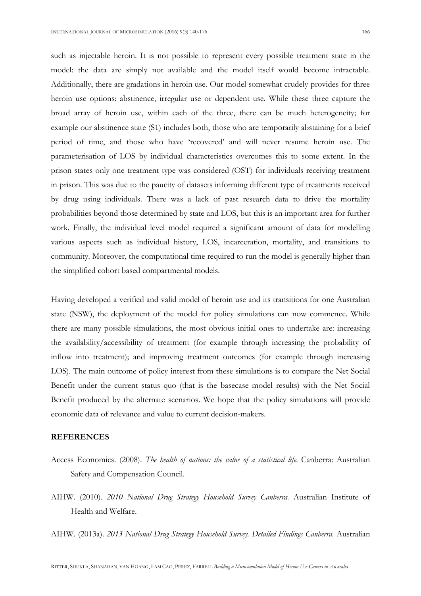such as injectable heroin. It is not possible to represent every possible treatment state in the model: the data are simply not available and the model itself would become intractable. Additionally, there are gradations in heroin use. Our model somewhat crudely provides for three heroin use options: abstinence, irregular use or dependent use. While these three capture the broad array of heroin use, within each of the three, there can be much heterogeneity; for example our abstinence state (S1) includes both, those who are temporarily abstaining for a brief period of time, and those who have 'recovered' and will never resume heroin use. The parameterisation of LOS by individual characteristics overcomes this to some extent. In the prison states only one treatment type was considered (OST) for individuals receiving treatment in prison. This was due to the paucity of datasets informing different type of treatments received by drug using individuals. There was a lack of past research data to drive the mortality probabilities beyond those determined by state and LOS, but this is an important area for further work. Finally, the individual level model required a significant amount of data for modelling various aspects such as individual history, LOS, incarceration, mortality, and transitions to community. Moreover, the computational time required to run the model is generally higher than the simplified cohort based compartmental models.

Having developed a verified and valid model of heroin use and its transitions for one Australian state (NSW), the deployment of the model for policy simulations can now commence. While there are many possible simulations, the most obvious initial ones to undertake are: increasing the availability/accessibility of treatment (for example through increasing the probability of inflow into treatment); and improving treatment outcomes (for example through increasing LOS). The main outcome of policy interest from these simulations is to compare the Net Social Benefit under the current status quo (that is the basecase model results) with the Net Social Benefit produced by the alternate scenarios. We hope that the policy simulations will provide economic data of relevance and value to current decision-makers.

#### REFERENCES

- Access Economics. (2008). The health of nations: the value of a statistical life. Canberra: Australian Safety and Compensation Council.
- AIHW. (2010). 2010 National Drug Strategy Household Survey Canberra. Australian Institute of Health and Welfare.

AIHW. (2013a). 2013 National Drug Strategy Household Survey. Detailed Findings Canberra. Australian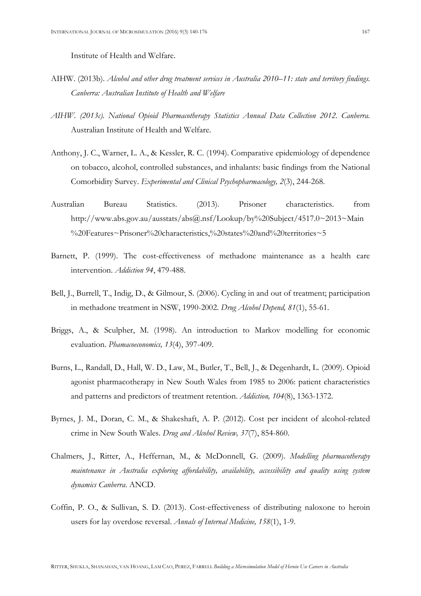Institute of Health and Welfare.

- AIHW. (2013b). Alcohol and other drug treatment services in Australia 2010–11: state and territory findings. Canberra: Australian Institute of Health and Welfare
- AIHW. (2013c). National Opioid Pharmacotherapy Statistics Annual Data Collection 2012. Canberra. Australian Institute of Health and Welfare.
- Anthony, J. C., Warner, L. A., & Kessler, R. C. (1994). Comparative epidemiology of dependence on tobacco, alcohol, controlled substances, and inhalants: basic findings from the National Comorbidity Survey. Experimental and Clinical Psychopharmacology, 2(3), 244-268.
- Australian Bureau Statistics. (2013). Prisoner characteristics. from http://www.abs.gov.au/ausstats/abs@.nsf/Lookup/by%20Subject/4517.0~2013~Main %20Features~Prisoner%20characteristics,%20states%20and%20territories~5
- Barnett, P. (1999). The cost-effectiveness of methadone maintenance as a health care intervention. Addiction 94, 479-488.
- Bell, J., Burrell, T., Indig, D., & Gilmour, S. (2006). Cycling in and out of treatment; participation in methadone treatment in NSW, 1990-2002. Drug Alcohol Depend, 81(1), 55-61.
- Briggs, A., & Sculpher, M. (1998). An introduction to Markov modelling for economic evaluation. Phamacoeconomics, 13(4), 397-409.
- Burns, L., Randall, D., Hall, W. D., Law, M., Butler, T., Bell, J., & Degenhardt, L. (2009). Opioid agonist pharmacotherapy in New South Wales from 1985 to 2006: patient characteristics and patterns and predictors of treatment retention. Addiction, 104(8), 1363-1372.
- Byrnes, J. M., Doran, C. M., & Shakeshaft, A. P. (2012). Cost per incident of alcohol-related crime in New South Wales. Drug and Alcohol Review, 37(7), 854-860.
- Chalmers, J., Ritter, A., Heffernan, M., & McDonnell, G. (2009). Modelling pharmacotherapy maintenance in Australia exploring affordability, availability, accessibility and quality using system dynamics Canberra. ANCD.
- Coffin, P. O., & Sullivan, S. D. (2013). Cost-effectiveness of distributing naloxone to heroin users for lay overdose reversal. Annals of Internal Medicine, 158(1), 1-9.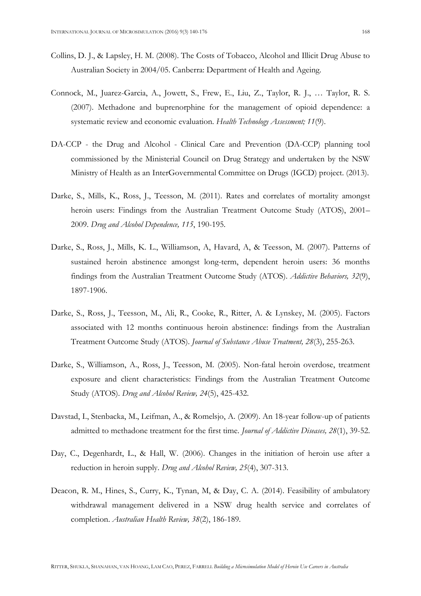- Collins, D. J., & Lapsley, H. M. (2008). The Costs of Tobacco, Alcohol and Illicit Drug Abuse to Australian Society in 2004/05. Canberra: Department of Health and Ageing.
- Connock, M., Juarez-Garcia, A., Jowett, S., Frew, E., Liu, Z., Taylor, R. J., … Taylor, R. S. (2007). Methadone and buprenorphine for the management of opioid dependence: a systematic review and economic evaluation. Health Technology Assessment; 11(9).
- DA-CCP the Drug and Alcohol Clinical Care and Prevention (DA-CCP) planning tool commissioned by the Ministerial Council on Drug Strategy and undertaken by the NSW Ministry of Health as an InterGovernmental Committee on Drugs (IGCD) project. (2013).
- Darke, S., Mills, K., Ross, J., Teesson, M. (2011). Rates and correlates of mortality amongst heroin users: Findings from the Australian Treatment Outcome Study (ATOS), 2001– 2009. Drug and Alcohol Dependence, 115, 190-195.
- Darke, S., Ross, J., Mills, K. L., Williamson, A, Havard, A, & Teesson, M. (2007). Patterns of sustained heroin abstinence amongst long-term, dependent heroin users: 36 months findings from the Australian Treatment Outcome Study (ATOS). Addictive Behaviors, 32(9), 1897-1906.
- Darke, S., Ross, J., Teesson, M., Ali, R., Cooke, R., Ritter, A. & Lynskey, M. (2005). Factors associated with 12 months continuous heroin abstinence: findings from the Australian Treatment Outcome Study (ATOS). Journal of Substance Abuse Treatment, 28(3), 255-263.
- Darke, S., Williamson, A., Ross, J., Teesson, M. (2005). Non-fatal heroin overdose, treatment exposure and client characteristics: Findings from the Australian Treatment Outcome Study (ATOS). Drug and Alcohol Review, 24(5), 425-432.
- Davstad, I., Stenbacka, M., Leifman, A., & Romelsjo, A. (2009). An 18-year follow-up of patients admitted to methadone treatment for the first time. *Journal of Addictive Diseases*, 28(1), 39-52.
- Day, C., Degenhardt, L., & Hall, W. (2006). Changes in the initiation of heroin use after a reduction in heroin supply. Drug and Alcohol Review, 25(4), 307-313.
- Deacon, R. M., Hines, S., Curry, K., Tynan, M, & Day, C. A. (2014). Feasibility of ambulatory withdrawal management delivered in a NSW drug health service and correlates of completion. Australian Health Review, 38(2), 186-189.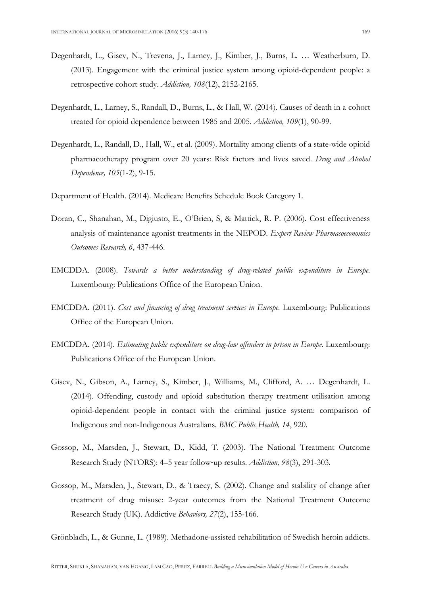- Degenhardt, L., Gisev, N., Trevena, J., Larney, J., Kimber, J., Burns, L. … Weatherburn, D. (2013). Engagement with the criminal justice system among opioid-dependent people: a retrospective cohort study. Addiction, 108(12), 2152-2165.
- Degenhardt, L., Larney, S., Randall, D., Burns, L., & Hall, W. (2014). Causes of death in a cohort treated for opioid dependence between 1985 and 2005. Addiction, 109(1), 90-99.
- Degenhardt, L., Randall, D., Hall, W., et al. (2009). Mortality among clients of a state-wide opioid pharmacotherapy program over 20 years: Risk factors and lives saved. Drug and Alcohol Dependence, 105(1-2), 9-15.
- Department of Health. (2014). Medicare Benefits Schedule Book Category 1.
- Doran, C., Shanahan, M., Digiusto, E., O'Brien, S, & Mattick, R. P. (2006). Cost effectiveness analysis of maintenance agonist treatments in the NEPOD. Expert Review Pharmacoeconomics Outcomes Research, 6, 437-446.
- EMCDDA. (2008). Towards a better understanding of drug-related public expenditure in Europe. Luxembourg: Publications Office of the European Union.
- EMCDDA. (2011). Cost and financing of drug treatment services in Europe. Luxembourg: Publications Office of the European Union.
- EMCDDA. (2014). Estimating public expenditure on drug-law offenders in prison in Europe. Luxembourg: Publications Office of the European Union.
- Gisev, N., Gibson, A., Larney, S., Kimber, J., Williams, M., Clifford, A. … Degenhardt, L. (2014). Offending, custody and opioid substitution therapy treatment utilisation among opioid-dependent people in contact with the criminal justice system: comparison of Indigenous and non-Indigenous Australians. BMC Public Health, 14, 920.
- Gossop, M., Marsden, J., Stewart, D., Kidd, T. (2003). The National Treatment Outcome Research Study (NTORS): 4–5 year follow‐up results. Addiction, 98(3), 291-303.
- Gossop, M., Marsden, J., Stewart, D., & Traecy, S. (2002). Change and stability of change after treatment of drug misuse: 2-year outcomes from the National Treatment Outcome Research Study (UK). Addictive Behaviors, 27(2), 155-166.

Grönbladh, L., & Gunne, L. (1989). Methadone-assisted rehabilitation of Swedish heroin addicts.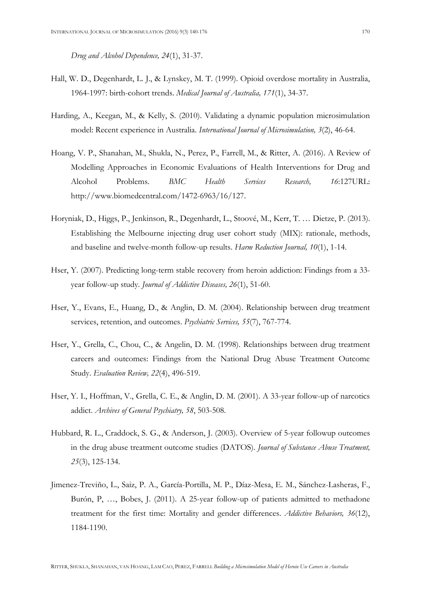Drug and Alcohol Dependence, 24(1), 31-37.

- Hall, W. D., Degenhardt, L. J., & Lynskey, M. T. (1999). Opioid overdose mortality in Australia, 1964-1997: birth-cohort trends. Medical Journal of Australia, 171(1), 34-37.
- Harding, A., Keegan, M., & Kelly, S. (2010). Validating a dynamic population microsimulation model: Recent experience in Australia. International Journal of Microsimulation, 3(2), 46-64.
- Hoang, V. P., Shanahan, M., Shukla, N., Perez, P., Farrell, M., & Ritter, A. (2016). A Review of Modelling Approaches in Economic Evaluations of Health Interventions for Drug and Alcohol Problems. BMC Health Services Research, 16:127URL: http://www.biomedcentral.com/1472-6963/16/127.
- Horyniak, D., Higgs, P., Jenkinson, R., Degenhardt, L., Stoové, M., Kerr, T. … Dietze, P. (2013). Establishing the Melbourne injecting drug user cohort study (MIX): rationale, methods, and baseline and twelve-month follow-up results. Harm Reduction Journal, 10(1), 1-14.
- Hser, Y. (2007). Predicting long-term stable recovery from heroin addiction: Findings from a 33 year follow-up study. Journal of Addictive Diseases, 26(1), 51-60.
- Hser, Y., Evans, E., Huang, D., & Anglin, D. M. (2004). Relationship between drug treatment services, retention, and outcomes. Psychiatric Services, 55(7), 767-774.
- Hser, Y., Grella, C., Chou, C., & Angelin, D. M. (1998). Relationships between drug treatment careers and outcomes: Findings from the National Drug Abuse Treatment Outcome Study. Evaluation Review, 22(4), 496-519.
- Hser, Y. I., Hoffman, V., Grella, C. E., & Anglin, D. M. (2001). A 33-year follow-up of narcotics addict. Archives of General Psychiatry, 58, 503-508.
- Hubbard, R. L., Craddock, S. G., & Anderson, J. (2003). Overview of 5-year followup outcomes in the drug abuse treatment outcome studies (DATOS). Journal of Substance Abuse Treatment, 25(3), 125-134.
- Jimenez-Treviño, L., Saiz, P. A., García-Portilla, M. P., Díaz-Mesa, E. M., Sánchez-Lasheras, F., Burón, P, …, Bobes, J. (2011). A 25-year follow-up of patients admitted to methadone treatment for the first time: Mortality and gender differences. Addictive Behaviors, 36(12), 1184-1190.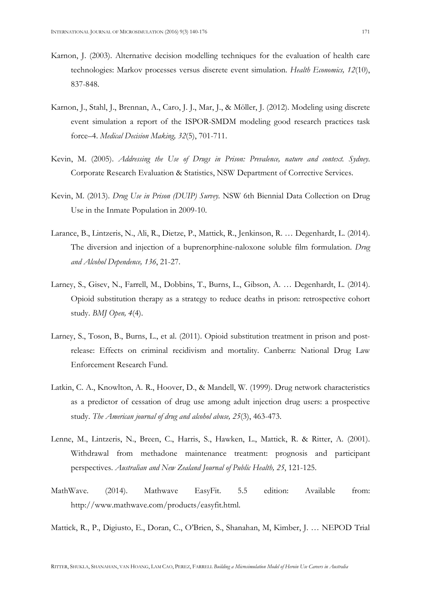- Karnon, J. (2003). Alternative decision modelling techniques for the evaluation of health care technologies: Markov processes versus discrete event simulation. Health Economics, 12(10), 837-848.
- Karnon, J., Stahl, J., Brennan, A., Caro, J. J., Mar, J., & Möller, J. (2012). Modeling using discrete event simulation a report of the ISPOR-SMDM modeling good research practices task force–4. Medical Decision Making, 32(5), 701-711.
- Kevin, M. (2005). Addressing the Use of Drugs in Prison: Prevalence, nature and context. Sydney. Corporate Research Evaluation & Statistics, NSW Department of Corrective Services.
- Kevin, M. (2013). Drug Use in Prison (DUIP) Survey. NSW 6th Biennial Data Collection on Drug Use in the Inmate Population in 2009-10.
- Larance, B., Lintzeris, N., Ali, R., Dietze, P., Mattick, R., Jenkinson, R. … Degenhardt, L. (2014). The diversion and injection of a buprenorphine-naloxone soluble film formulation. Drug and Alcohol Dependence, 136, 21-27.
- Larney, S., Gisev, N., Farrell, M., Dobbins, T., Burns, L., Gibson, A. … Degenhardt, L. (2014). Opioid substitution therapy as a strategy to reduce deaths in prison: retrospective cohort study. BMJ Open, 4(4).
- Larney, S., Toson, B., Burns, L., et al. (2011). Opioid substitution treatment in prison and postrelease: Effects on criminal recidivism and mortality. Canberra: National Drug Law Enforcement Research Fund.
- Latkin, C. A., Knowlton, A. R., Hoover, D., & Mandell, W. (1999). Drug network characteristics as a predictor of cessation of drug use among adult injection drug users: a prospective study. The American journal of drug and alcohol abuse, 25(3), 463-473.
- Lenne, M., Lintzeris, N., Breen, C., Harris, S., Hawken, L., Mattick, R. & Ritter, A. (2001). Withdrawal from methadone maintenance treatment: prognosis and participant perspectives. Australian and New Zealand Journal of Public Health, 25, 121-125.
- MathWave. (2014). Mathwave EasyFit. 5.5 edition: Available from: http://www.mathwave.com/products/easyfit.html.

Mattick, R., P., Digiusto, E., Doran, C., O'Brien, S., Shanahan, M, Kimber, J. … NEPOD Trial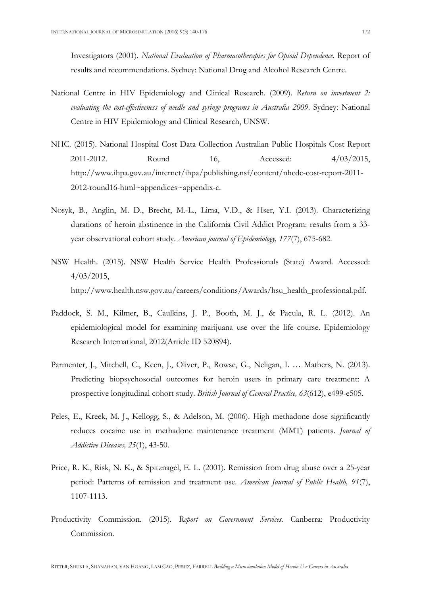Investigators (2001). National Evaluation of Pharmacotherapies for Opioid Dependence. Report of results and recommendations. Sydney: National Drug and Alcohol Research Centre.

- National Centre in HIV Epidemiology and Clinical Research. (2009). Return on investment 2: evaluating the cost-effectiveness of needle and syringe programs in Australia 2009. Sydney: National Centre in HIV Epidemiology and Clinical Research, UNSW.
- NHC. (2015). National Hospital Cost Data Collection Australian Public Hospitals Cost Report 2011-2012. Round 16, Accessed: 4/03/2015, http://www.ihpa.gov.au/internet/ihpa/publishing.nsf/content/nhcdc-cost-report-2011- 2012-round16-html~appendices~appendix-c.
- Nosyk, B., Anglin, M. D., Brecht, M.-L., Lima, V.D., & Hser, Y.I. (2013). Characterizing durations of heroin abstinence in the California Civil Addict Program: results from a 33 year observational cohort study. American journal of Epidemiology, 177(7), 675-682.
- NSW Health. (2015). NSW Health Service Health Professionals (State) Award. Accessed: 4/03/2015, http://www.health.nsw.gov.au/careers/conditions/Awards/hsu\_health\_professional.pdf.
- Paddock, S. M., Kilmer, B., Caulkins, J. P., Booth, M. J., & Pacula, R. L. (2012). An epidemiological model for examining marijuana use over the life course. Epidemiology Research International, 2012(Article ID 520894).
- Parmenter, J., Mitchell, C., Keen, J., Oliver, P., Rowse, G., Neligan, I. … Mathers, N. (2013). Predicting biopsychosocial outcomes for heroin users in primary care treatment: A prospective longitudinal cohort study. British Journal of General Practice, 63(612), e499-e505.
- Peles, E., Kreek, M. J., Kellogg, S., & Adelson, M. (2006). High methadone dose significantly reduces cocaine use in methadone maintenance treatment (MMT) patients. Journal of Addictive Diseases, 25(1), 43-50.
- Price, R. K., Risk, N. K., & Spitznagel, E. L. (2001). Remission from drug abuse over a 25-year period: Patterns of remission and treatment use. American Journal of Public Health, 91(7), 1107-1113.
- Productivity Commission. (2015). Report on Government Services. Canberra: Productivity Commission.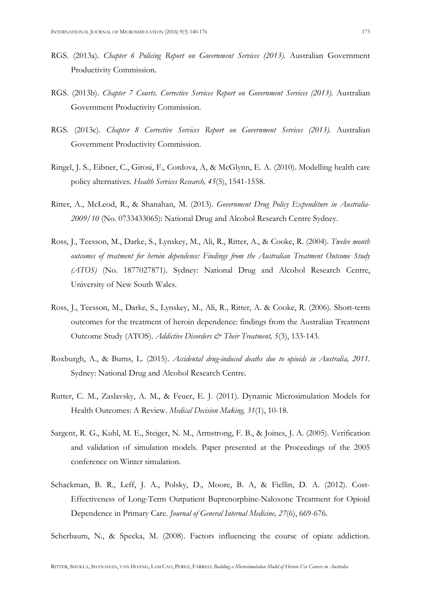- RGS. (2013a). Chapter 6 Policing Report on Government Services (2013). Australian Government Productivity Commission.
- RGS. (2013b). Chapter 7 Courts. Corrective Services Report on Government Services (2013). Australian Government Productivity Commission.
- RGS. (2013c). Chapter 8 Corrective Services Report on Government Services (2013). Australian Government Productivity Commission.
- Ringel, J. S., Eibner, C., Girosi, F., Cordova, A, & McGlynn, E. A. (2010). Modelling health care policy alternatives. Health Services Research, 45(5), 1541-1558.
- Ritter, A., McLeod, R., & Shanahan, M. (2013). Government Drug Policy Expenditure in Australia-2009/10 (No. 0733433065): National Drug and Alcohol Research Centre Sydney.
- Ross, J., Teesson, M., Darke, S., Lynskey, M., Ali, R., Ritter, A., & Cooke, R. (2004). Twelve month outcomes of treatment for heroin dependence: Findings from the Australian Treatment Outcome Study (ATOS) (No. 1877027871). Sydney: National Drug and Alcohol Research Centre, University of New South Wales.
- Ross, J., Teesson, M., Darke, S., Lynskey, M., Ali, R., Ritter, A. & Cooke, R. (2006). Short-term outcomes for the treatment of heroin dependence: findings from the Australian Treatment Outcome Study (ATOS). Addictive Disorders & Their Treatment, 5(3), 133-143.
- Roxburgh, A., & Burns, L. (2015). Accidental drug-induced deaths due to opioids in Australia, 2011. Sydney: National Drug and Alcohol Research Centre.
- Rutter, C. M., Zaslavsky, A. M., & Feuer, E. J. (2011). Dynamic Microsimulation Models for Health Outcomes: A Review. Medical Decision Making, 31(1), 10-18.
- Sargent, R. G., Kuhl, M. E., Steiger, N. M., Armstrong, F. B., & Joines, J. A. (2005). Verification and validation of simulation models. Paper presented at the Proceedings of the 2005 conference on Winter simulation.
- Schackman, B. R., Leff, J. A., Polsky, D., Moore, B. A, & Fiellin, D. A. (2012). Cost-Effectiveness of Long-Term Outpatient Buprenorphine-Naloxone Treatment for Opioid Dependence in Primary Care. Journal of General Internal Medicine, 27(6), 669-676.

Scherbaum, N., & Specka, M. (2008). Factors influencing the course of opiate addiction.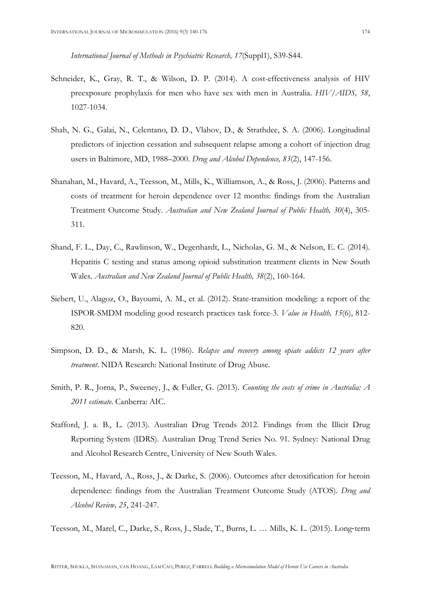International Journal of Methods in Psychiatric Research, 17(Suppl1), S39-S44.

- Schneider, K., Gray, R. T., & Wilson, D. P. (2014). A cost-effectiveness analysis of HIV preexposure prophylaxis for men who have sex with men in Australia. HIV/AIDS, 58, 1027-1034.
- Shah, N. G., Galai, N., Celentano, D. D., Vlahov, D., & Strathdee, S. A. (2006). Longitudinal predictors of injection cessation and subsequent relapse among a cohort of injection drug users in Baltimore, MD, 1988–2000. Drug and Alcohol Dependence, 83(2), 147-156.
- Shanahan, M., Havard, A., Teesson, M., Mills, K., Williamson, A., & Ross, J. (2006). Patterns and costs of treatment for heroin dependence over 12 months: findings from the Australian Treatment Outcome Study. Australian and New Zealand Journal of Public Health, 30(4), 305- 311.
- Shand, F. L., Day, C., Rawlinson, W., Degenhardt, L., Nicholas, G. M., & Nelson, E. C. (2014). Hepatitis C testing and status among opioid substitution treatment clients in New South Wales. Australian and New Zealand Journal of Public Health, 38(2), 160-164.
- Siebert, U., Alagoz, O., Bayoumi, A. M., et al. (2012). State-transition modeling: a report of the ISPOR-SMDM modeling good research practices task force-3. Value in Health, 15(6), 812- 820.
- Simpson, D. D., & Marsh, K. L. (1986). Relapse and recovery among opiate addicts 12 years after treatment. NIDA Research: National Institute of Drug Abuse.
- Smith, P. R., Jorna, P., Sweeney, J., & Fuller, G. (2013). Counting the costs of crime in Australia: A 2011 estimate. Canberra: AIC.
- Stafford, J. a. B., L. (2013). Australian Drug Trends 2012. Findings from the Illicit Drug Reporting System (IDRS). Australian Drug Trend Series No. 91. Sydney: National Drug and Alcohol Research Centre, University of New South Wales.
- Teesson, M., Havard, A., Ross, J., & Darke, S. (2006). Outcomes after detoxification for heroin dependence: findings from the Australian Treatment Outcome Study (ATOS). Drug and Alcohol Review, 25, 241-247.

Teesson, M., Marel, C., Darke, S., Ross, J., Slade, T., Burns, L. … Mills, K. L. (2015). Long‐term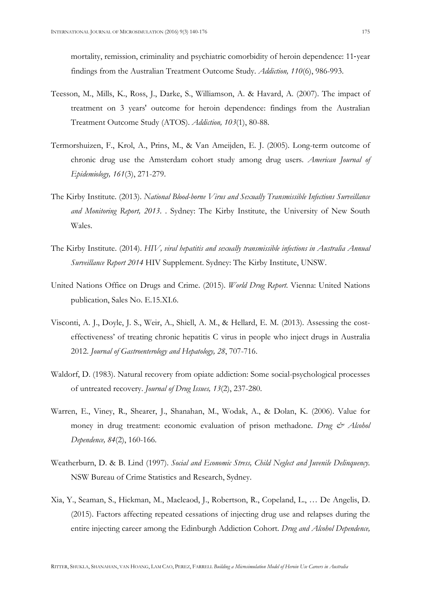mortality, remission, criminality and psychiatric comorbidity of heroin dependence: 11‐year findings from the Australian Treatment Outcome Study. Addiction, 110(6), 986-993.

- Teesson, M., Mills, K., Ross, J., Darke, S., Williamson, A. & Havard, A. (2007). The impact of treatment on 3 years' outcome for heroin dependence: findings from the Australian Treatment Outcome Study (ATOS). Addiction, 103(1), 80-88.
- Termorshuizen, F., Krol, A., Prins, M., & Van Ameijden, E. J. (2005). Long-term outcome of chronic drug use the Amsterdam cohort study among drug users. American Journal of Epidemiology, 161(3), 271-279.
- The Kirby Institute. (2013). National Blood-borne Virus and Sexually Transmissible Infections Surveillance and Monitoring Report, 2013. . Sydney: The Kirby Institute, the University of New South Wales.
- The Kirby Institute. (2014). HIV, viral hepatitis and sexually transmissible infections in Australia Annual Surveillance Report 2014 HIV Supplement. Sydney: The Kirby Institute, UNSW.
- United Nations Office on Drugs and Crime. (2015). World Drug Report. Vienna: United Nations publication, Sales No. E.15.XI.6.
- Visconti, A. J., Doyle, J. S., Weir, A., Shiell, A. M., & Hellard, E. M. (2013). Assessing the costeffectiveness' of treating chronic hepatitis C virus in people who inject drugs in Australia 2012. Journal of Gastroenterology and Hepatology, 28, 707-716.
- Waldorf, D. (1983). Natural recovery from opiate addiction: Some social-psychological processes of untreated recovery. Journal of Drug Issues, 13(2), 237-280.
- Warren, E., Viney, R., Shearer, J., Shanahan, M., Wodak, A., & Dolan, K. (2006). Value for money in drug treatment: economic evaluation of prison methadone. Drug  $\mathcal{Q}$  Alcohol Dependence, 84(2), 160-166.
- Weatherburn, D. & B. Lind (1997). Social and Economic Stress, Child Neglect and Juvenile Delinquency. NSW Bureau of Crime Statistics and Research, Sydney.
- Xia, Y., Seaman, S., Hickman, M., Macleaod, J., Robertson, R., Copeland, L., … De Angelis, D. (2015). Factors affecting repeated cessations of injecting drug use and relapses during the entire injecting career among the Edinburgh Addiction Cohort. Drug and Alcohol Dependence,